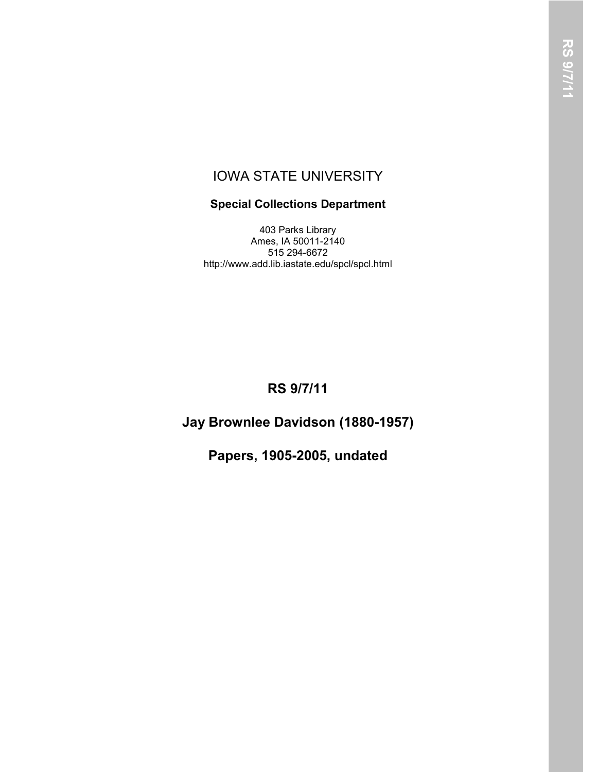### IOWA STATE UNIVERSITY

### **Special Collections Department**

403 Parks Library Ames, IA 50011-2140 515 294-6672 http://www.add.lib.iastate.edu/spcl/spcl.html

# **RS 9/7/11**

# **Jay Brownlee Davidson (1880-1957)**

**Papers, 1905-2005, undated**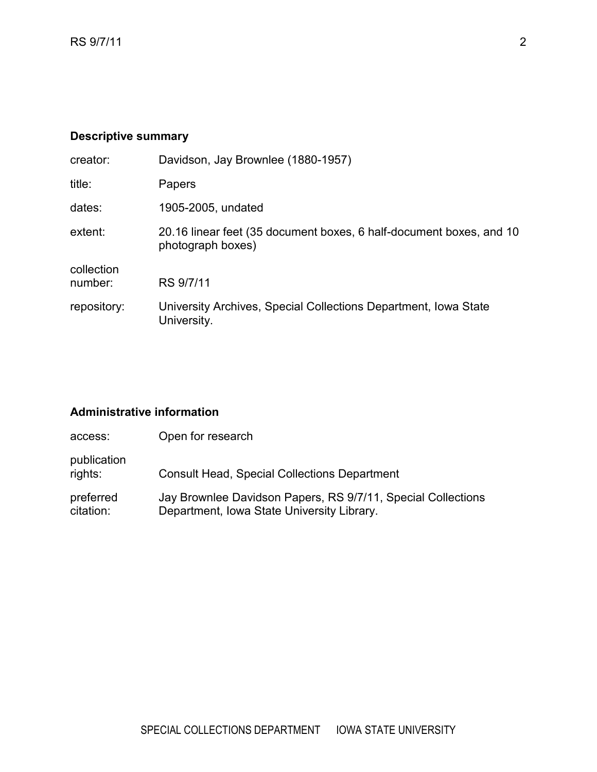### **Descriptive summary**

| Davidson, Jay Brownlee (1880-1957)                                                       |
|------------------------------------------------------------------------------------------|
| Papers                                                                                   |
| 1905-2005, undated                                                                       |
| 20.16 linear feet (35 document boxes, 6 half-document boxes, and 10<br>photograph boxes) |
| RS 9/7/11                                                                                |
| University Archives, Special Collections Department, Iowa State<br>University.           |
|                                                                                          |

### **Administrative information**

| access:                | Open for research                                                                                          |
|------------------------|------------------------------------------------------------------------------------------------------------|
| publication<br>rights: | <b>Consult Head, Special Collections Department</b>                                                        |
| preferred<br>citation: | Jay Brownlee Davidson Papers, RS 9/7/11, Special Collections<br>Department, Iowa State University Library. |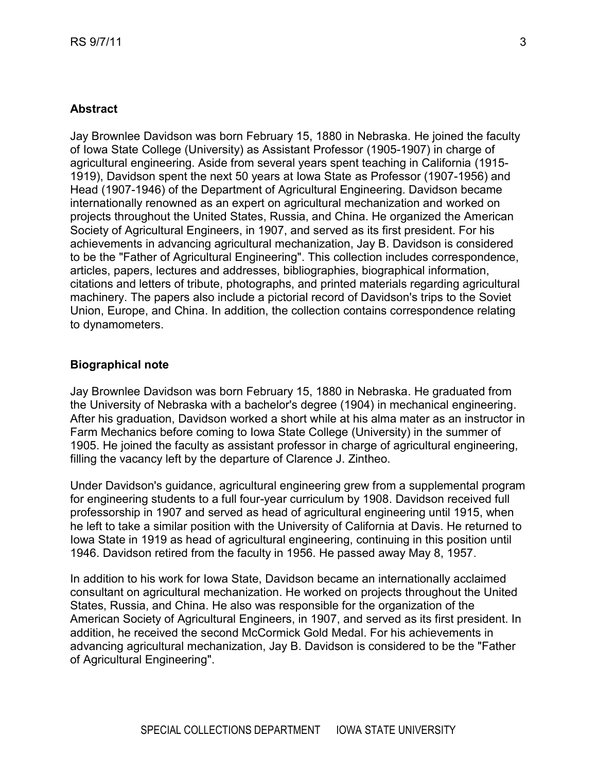### **Abstract**

Jay Brownlee Davidson was born February 15, 1880 in Nebraska. He joined the faculty of Iowa State College (University) as Assistant Professor (1905-1907) in charge of agricultural engineering. Aside from several years spent teaching in California (1915- 1919), Davidson spent the next 50 years at Iowa State as Professor (1907-1956) and Head (1907-1946) of the Department of Agricultural Engineering. Davidson became internationally renowned as an expert on agricultural mechanization and worked on projects throughout the United States, Russia, and China. He organized the American Society of Agricultural Engineers, in 1907, and served as its first president. For his achievements in advancing agricultural mechanization, Jay B. Davidson is considered to be the "Father of Agricultural Engineering". This collection includes correspondence, articles, papers, lectures and addresses, bibliographies, biographical information, citations and letters of tribute, photographs, and printed materials regarding agricultural machinery. The papers also include a pictorial record of Davidson's trips to the Soviet Union, Europe, and China. In addition, the collection contains correspondence relating to dynamometers.

#### **Biographical note**

Jay Brownlee Davidson was born February 15, 1880 in Nebraska. He graduated from the University of Nebraska with a bachelor's degree (1904) in mechanical engineering. After his graduation, Davidson worked a short while at his alma mater as an instructor in Farm Mechanics before coming to Iowa State College (University) in the summer of 1905. He joined the faculty as assistant professor in charge of agricultural engineering, filling the vacancy left by the departure of Clarence J. Zintheo.

Under Davidson's guidance, agricultural engineering grew from a supplemental program for engineering students to a full four-year curriculum by 1908. Davidson received full professorship in 1907 and served as head of agricultural engineering until 1915, when he left to take a similar position with the University of California at Davis. He returned to Iowa State in 1919 as head of agricultural engineering, continuing in this position until 1946. Davidson retired from the faculty in 1956. He passed away May 8, 1957.

In addition to his work for Iowa State, Davidson became an internationally acclaimed consultant on agricultural mechanization. He worked on projects throughout the United States, Russia, and China. He also was responsible for the organization of the American Society of Agricultural Engineers, in 1907, and served as its first president. In addition, he received the second McCormick Gold Medal. For his achievements in advancing agricultural mechanization, Jay B. Davidson is considered to be the "Father of Agricultural Engineering".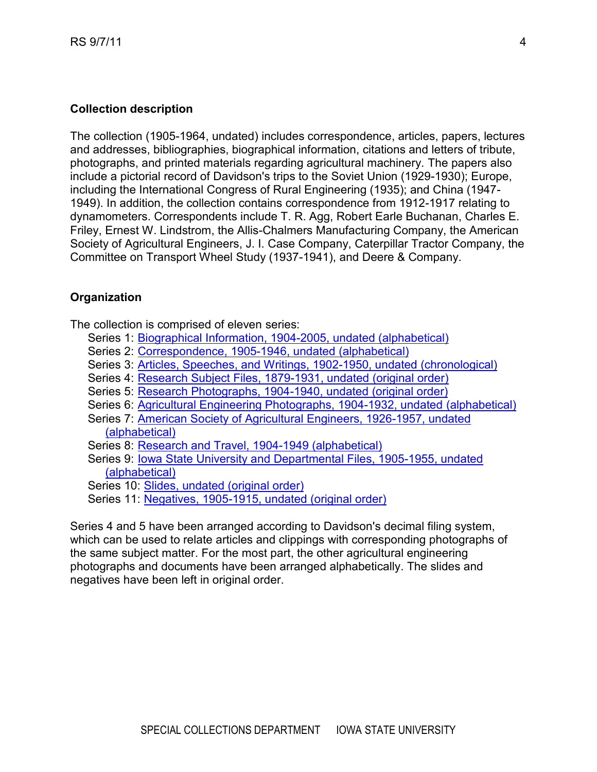### **Collection description**

The collection (1905-1964, undated) includes correspondence, articles, papers, lectures and addresses, bibliographies, biographical information, citations and letters of tribute, photographs, and printed materials regarding agricultural machinery. The papers also include a pictorial record of Davidson's trips to the Soviet Union (1929-1930); Europe, including the International Congress of Rural Engineering (1935); and China (1947- 1949). In addition, the collection contains correspondence from 1912-1917 relating to dynamometers. Correspondents include T. R. Agg, Robert Earle Buchanan, Charles E. Friley, Ernest W. Lindstrom, the Allis-Chalmers Manufacturing Company, the American Society of Agricultural Engineers, J. I. Case Company, Caterpillar Tractor Company, the Committee on Transport Wheel Study (1937-1941), and Deere & Company.

#### **Organization**

The collection is comprised of eleven series:

- Series 1: Biographical [Information, 1904-2005, undated \(alphabetical\)](#page-4-0)
- Series 2: [Correspondence, 1905-1946, undated](#page-5-0) (alphabetical)
- Series 3: Articles, Speeches, and [Writings, 1902-1950, undated](#page-8-0) (chronological)
- Series 4: [Research Subject Files, 1879-1931, undated \(original order\)](#page-12-0)
- Series 5: [Research Photographs, 1904-1940, undated](#page-16-0) (original order)
- Series 6: [Agricultural Engineering Photographs,](#page-23-0) 1904-1932, undated (alphabetical)
- [Series 7: American Society of Agricultural Engineers, 1926-1957, undated](#page-24-0)  [\(alphabetical\)](#page-24-0)
- Series 8: Research [and Travel, 1904-1949 \(alphabetical\)](#page-26-0)
- [Series 9: Iowa State University and Departmental Files, 1905-1955, undated](#page-27-0)  [\(alphabetical\)](#page-27-0)
- Series 10: [Slides, undated \(original order\)](#page-30-0)
- Series 11: [Negatives, 1905-1915, undated \(original order\)](#page-31-0)

Series 4 and 5 have been arranged according to Davidson's decimal filing system, which can be used to relate articles and clippings with corresponding photographs of the same subject matter. For the most part, the other agricultural engineering photographs and documents have been arranged alphabetically. The slides and negatives have been left in original order.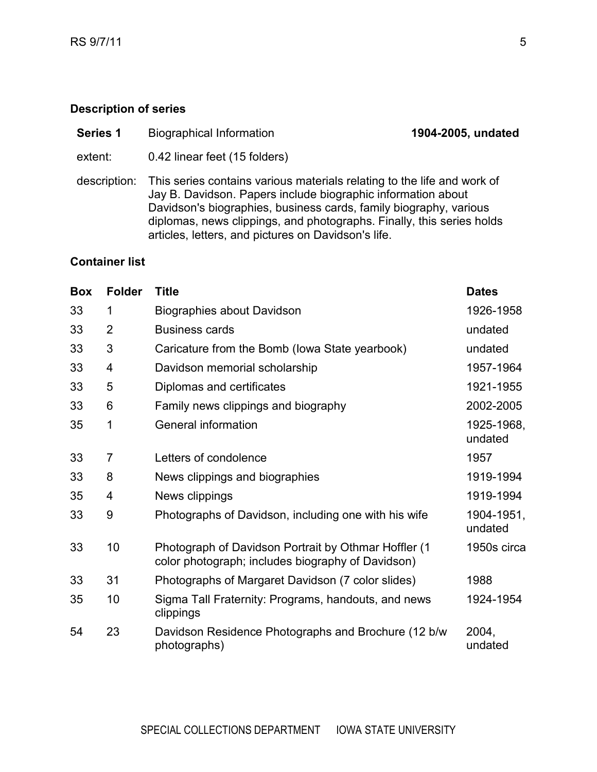- <span id="page-4-0"></span>**Series 1** Biographical Information **1904-2005, undated**
- extent: 0.42 linear feet (15 folders)
- description: This series contains various materials relating to the life and work of Jay B. Davidson. Papers include biographic information about Davidson's biographies, business cards, family biography, various diplomas, news clippings, and photographs. Finally, this series holds articles, letters, and pictures on Davidson's life.

| <b>Box</b> | <b>Folder</b>  | <b>Title</b>                                                                                              | <b>Dates</b>          |
|------------|----------------|-----------------------------------------------------------------------------------------------------------|-----------------------|
| 33         | 1              | Biographies about Davidson                                                                                | 1926-1958             |
| 33         | $\overline{2}$ | <b>Business cards</b>                                                                                     | undated               |
| 33         | 3              | Caricature from the Bomb (lowa State yearbook)                                                            | undated               |
| 33         | 4              | Davidson memorial scholarship                                                                             | 1957-1964             |
| 33         | 5              | Diplomas and certificates                                                                                 | 1921-1955             |
| 33         | 6              | Family news clippings and biography                                                                       | 2002-2005             |
| 35         | 1              | General information                                                                                       | 1925-1968,<br>undated |
| 33         | $\overline{7}$ | Letters of condolence                                                                                     | 1957                  |
| 33         | 8              | News clippings and biographies                                                                            | 1919-1994             |
| 35         | 4              | News clippings                                                                                            | 1919-1994             |
| 33         | 9              | Photographs of Davidson, including one with his wife                                                      | 1904-1951,<br>undated |
| 33         | 10             | Photograph of Davidson Portrait by Othmar Hoffler (1<br>color photograph; includes biography of Davidson) | 1950s circa           |
| 33         | 31             | Photographs of Margaret Davidson (7 color slides)                                                         | 1988                  |
| 35         | 10             | Sigma Tall Fraternity: Programs, handouts, and news<br>clippings                                          | 1924-1954             |
| 54         | 23             | Davidson Residence Photographs and Brochure (12 b/w<br>photographs)                                       | 2004,<br>undated      |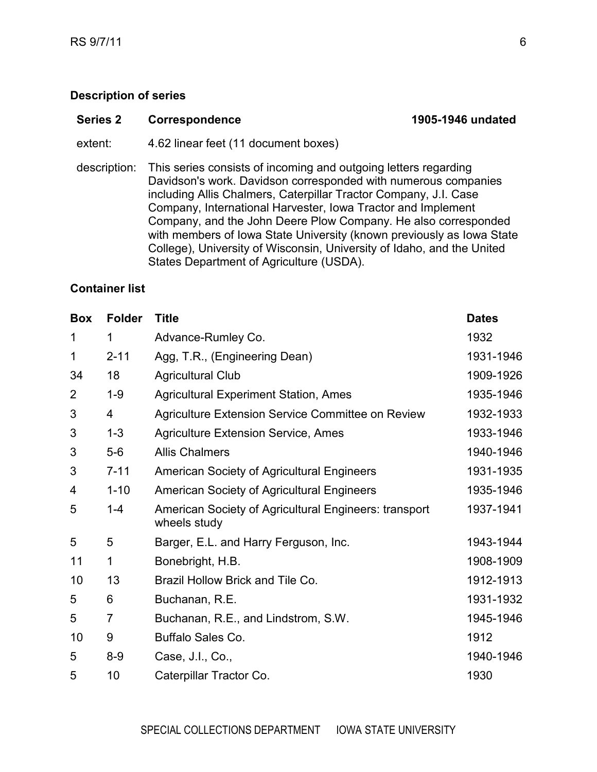#### <span id="page-5-0"></span>**Series 2 Correspondence 1905-1946 undated**

extent: 4.62 linear feet (11 document boxes)

description: This series consists of incoming and outgoing letters regarding Davidson's work. Davidson corresponded with numerous companies including Allis Chalmers, Caterpillar Tractor Company, J.I. Case Company, International Harvester, Iowa Tractor and Implement Company, and the John Deere Plow Company. He also corresponded with members of Iowa State University (known previously as Iowa State College), University of Wisconsin, University of Idaho, and the United States Department of Agriculture (USDA).

| <b>Box</b>     | <b>Folder</b>  | <b>Title</b>                                                          | <b>Dates</b> |
|----------------|----------------|-----------------------------------------------------------------------|--------------|
| 1              | 1              | Advance-Rumley Co.                                                    | 1932         |
| 1              | $2 - 11$       | Agg, T.R., (Engineering Dean)                                         | 1931-1946    |
| 34             | 18             | <b>Agricultural Club</b>                                              | 1909-1926    |
| $\overline{2}$ | $1 - 9$        | <b>Agricultural Experiment Station, Ames</b>                          | 1935-1946    |
| 3              | 4              | Agriculture Extension Service Committee on Review                     | 1932-1933    |
| 3              | $1 - 3$        | <b>Agriculture Extension Service, Ames</b>                            | 1933-1946    |
| 3              | $5-6$          | <b>Allis Chalmers</b>                                                 | 1940-1946    |
| 3              | $7 - 11$       | <b>American Society of Agricultural Engineers</b>                     | 1931-1935    |
| 4              | $1 - 10$       | <b>American Society of Agricultural Engineers</b>                     | 1935-1946    |
| 5              | $1 - 4$        | American Society of Agricultural Engineers: transport<br>wheels study | 1937-1941    |
| 5              | 5              | Barger, E.L. and Harry Ferguson, Inc.                                 | 1943-1944    |
| 11             | 1              | Bonebright, H.B.                                                      | 1908-1909    |
| 10             | 13             | Brazil Hollow Brick and Tile Co.                                      | 1912-1913    |
| 5              | 6              | Buchanan, R.E.                                                        | 1931-1932    |
| 5              | $\overline{7}$ | Buchanan, R.E., and Lindstrom, S.W.                                   | 1945-1946    |
| 10             | 9              | Buffalo Sales Co.                                                     | 1912         |
| 5              | $8-9$          | Case, J.I., Co.,                                                      | 1940-1946    |
| 5              | 10             | Caterpillar Tractor Co.                                               | 1930         |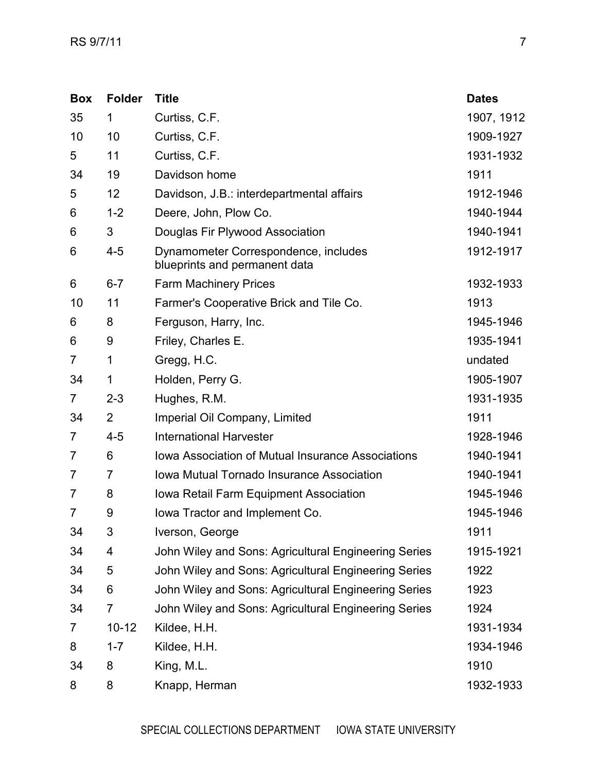| <b>Box</b>     | <b>Folder</b>  | <b>Title</b>                                                          | <b>Dates</b> |
|----------------|----------------|-----------------------------------------------------------------------|--------------|
| 35             | 1              | Curtiss, C.F.                                                         | 1907, 1912   |
| 10             | 10             | Curtiss, C.F.                                                         | 1909-1927    |
| 5              | 11             | Curtiss, C.F.                                                         | 1931-1932    |
| 34             | 19             | Davidson home                                                         | 1911         |
| 5              | 12             | Davidson, J.B.: interdepartmental affairs                             | 1912-1946    |
| 6              | $1 - 2$        | Deere, John, Plow Co.                                                 | 1940-1944    |
| 6              | 3              | Douglas Fir Plywood Association                                       | 1940-1941    |
| 6              | $4 - 5$        | Dynamometer Correspondence, includes<br>blueprints and permanent data | 1912-1917    |
| 6              | $6 - 7$        | Farm Machinery Prices                                                 | 1932-1933    |
| 10             | 11             | Farmer's Cooperative Brick and Tile Co.                               | 1913         |
| 6              | 8              | Ferguson, Harry, Inc.                                                 | 1945-1946    |
| 6              | 9              | Friley, Charles E.                                                    | 1935-1941    |
| 7              | 1              | Gregg, H.C.                                                           | undated      |
| 34             | 1              | Holden, Perry G.                                                      | 1905-1907    |
| $\overline{7}$ | $2 - 3$        | Hughes, R.M.                                                          | 1931-1935    |
| 34             | $\overline{2}$ | Imperial Oil Company, Limited                                         | 1911         |
| 7              | $4 - 5$        | <b>International Harvester</b>                                        | 1928-1946    |
| 7              | 6              | Iowa Association of Mutual Insurance Associations                     | 1940-1941    |
| 7              | 7              | <b>Iowa Mutual Tornado Insurance Association</b>                      | 1940-1941    |
| 7              | 8              | Iowa Retail Farm Equipment Association                                | 1945-1946    |
| 7              | 9              | lowa Tractor and Implement Co.                                        | 1945-1946    |
| 34             | 3              | Iverson, George                                                       | 1911         |
| 34             | 4              | John Wiley and Sons: Agricultural Engineering Series                  | 1915-1921    |
| 34             | 5              | John Wiley and Sons: Agricultural Engineering Series                  | 1922         |
| 34             | 6              | John Wiley and Sons: Agricultural Engineering Series                  | 1923         |
| 34             | $\overline{7}$ | John Wiley and Sons: Agricultural Engineering Series                  | 1924         |
| 7              | $10 - 12$      | Kildee, H.H.                                                          | 1931-1934    |
| 8              | $1 - 7$        | Kildee, H.H.                                                          | 1934-1946    |
| 34             | 8              | King, M.L.                                                            | 1910         |
| 8              | 8              | Knapp, Herman                                                         | 1932-1933    |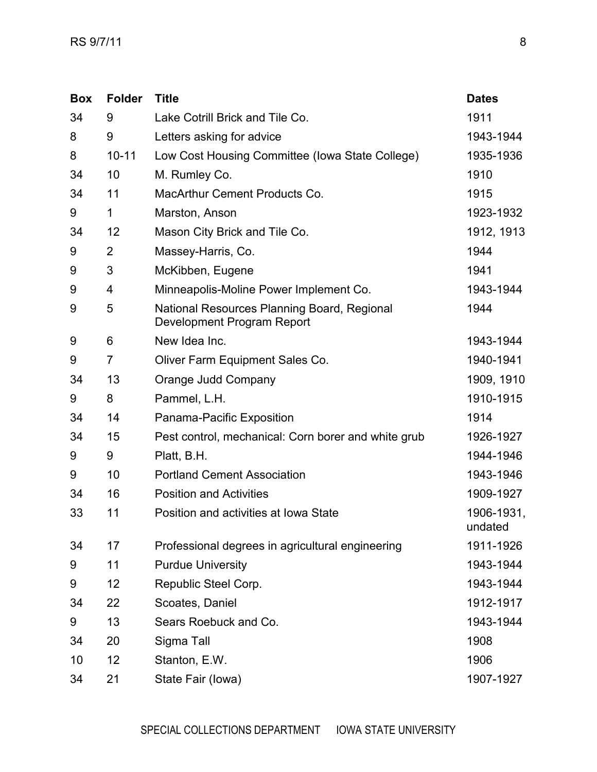| <b>Box</b> | <b>Folder</b>  | <b>Title</b>                                                              | <b>Dates</b>          |
|------------|----------------|---------------------------------------------------------------------------|-----------------------|
| 34         | 9              | Lake Cotrill Brick and Tile Co.                                           | 1911                  |
| 8          | 9              | Letters asking for advice                                                 | 1943-1944             |
| 8          | $10 - 11$      | Low Cost Housing Committee (Iowa State College)                           | 1935-1936             |
| 34         | 10             | M. Rumley Co.                                                             | 1910                  |
| 34         | 11             | MacArthur Cement Products Co.                                             | 1915                  |
| 9          | 1              | Marston, Anson                                                            | 1923-1932             |
| 34         | 12             | Mason City Brick and Tile Co.                                             | 1912, 1913            |
| 9          | $\overline{2}$ | Massey-Harris, Co.                                                        | 1944                  |
| 9          | 3              | McKibben, Eugene                                                          | 1941                  |
| 9          | 4              | Minneapolis-Moline Power Implement Co.                                    | 1943-1944             |
| 9          | 5              | National Resources Planning Board, Regional<br>Development Program Report | 1944                  |
| 9          | 6              | New Idea Inc.                                                             | 1943-1944             |
| 9          | $\overline{7}$ | Oliver Farm Equipment Sales Co.                                           | 1940-1941             |
| 34         | 13             | Orange Judd Company                                                       | 1909, 1910            |
| 9          | 8              | Pammel, L.H.                                                              | 1910-1915             |
| 34         | 14             | Panama-Pacific Exposition                                                 | 1914                  |
| 34         | 15             | Pest control, mechanical: Corn borer and white grub                       | 1926-1927             |
| 9          | 9              | Platt, B.H.                                                               | 1944-1946             |
| 9          | 10             | <b>Portland Cement Association</b>                                        | 1943-1946             |
| 34         | 16             | <b>Position and Activities</b>                                            | 1909-1927             |
| 33         | 11             | Position and activities at Iowa State                                     | 1906-1931,<br>undated |
| 34         | 17             | Professional degrees in agricultural engineering                          | 1911-1926             |
| 9          | 11             | <b>Purdue University</b>                                                  | 1943-1944             |
| 9          | 12             | Republic Steel Corp.                                                      | 1943-1944             |
| 34         | 22             | Scoates, Daniel                                                           | 1912-1917             |
| 9          | 13             | Sears Roebuck and Co.                                                     | 1943-1944             |
| 34         | 20             | Sigma Tall                                                                | 1908                  |
| 10         | 12             | Stanton, E.W.                                                             | 1906                  |
| 34         | 21             | State Fair (lowa)                                                         | 1907-1927             |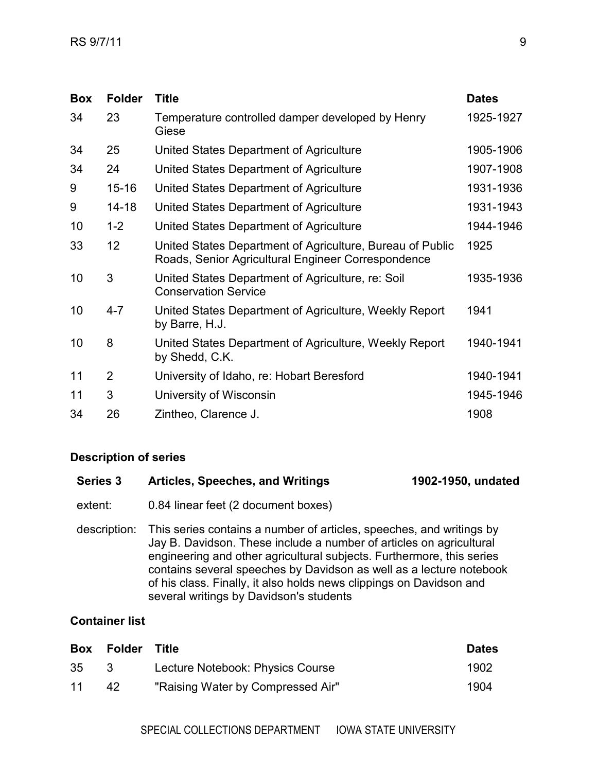| <b>Box</b> | <b>Folder</b> | <b>Title</b>                                                                                                    | <b>Dates</b> |
|------------|---------------|-----------------------------------------------------------------------------------------------------------------|--------------|
| 34         | 23            | Temperature controlled damper developed by Henry<br>Giese                                                       | 1925-1927    |
| 34         | 25            | United States Department of Agriculture                                                                         | 1905-1906    |
| 34         | 24            | United States Department of Agriculture                                                                         | 1907-1908    |
| 9          | $15 - 16$     | United States Department of Agriculture                                                                         | 1931-1936    |
| 9          | $14 - 18$     | United States Department of Agriculture                                                                         | 1931-1943    |
| 10         | $1 - 2$       | United States Department of Agriculture                                                                         | 1944-1946    |
| 33         | 12            | United States Department of Agriculture, Bureau of Public<br>Roads, Senior Agricultural Engineer Correspondence | 1925         |
| 10         | 3             | United States Department of Agriculture, re: Soil<br><b>Conservation Service</b>                                | 1935-1936    |
| 10         | $4 - 7$       | United States Department of Agriculture, Weekly Report<br>by Barre, H.J.                                        | 1941         |
| 10         | 8             | United States Department of Agriculture, Weekly Report<br>by Shedd, C.K.                                        | 1940-1941    |
| 11         | 2             | University of Idaho, re: Hobart Beresford                                                                       | 1940-1941    |
| 11         | 3             | University of Wisconsin                                                                                         | 1945-1946    |
| 34         | 26            | Zintheo, Clarence J.                                                                                            | 1908         |

<span id="page-8-0"></span>

| <b>Series 3</b> | <b>Articles, Speeches, and Writings</b>                                                                                                                                                                                                                                                                                                                                                                       | 1902-1950, undated |
|-----------------|---------------------------------------------------------------------------------------------------------------------------------------------------------------------------------------------------------------------------------------------------------------------------------------------------------------------------------------------------------------------------------------------------------------|--------------------|
| extent:         | 0.84 linear feet (2 document boxes)                                                                                                                                                                                                                                                                                                                                                                           |                    |
| description:    | This series contains a number of articles, speeches, and writings by<br>Jay B. Davidson. These include a number of articles on agricultural<br>engineering and other agricultural subjects. Furthermore, this series<br>contains several speeches by Davidson as well as a lecture notebook<br>of his class. Finally, it also holds news clippings on Davidson and<br>several writings by Davidson's students |                    |

|    | Box Folder | Title                             | <b>Dates</b> |
|----|------------|-----------------------------------|--------------|
| 35 | -3.        | Lecture Notebook: Physics Course  | 1902         |
| 11 | 42         | "Raising Water by Compressed Air" | 1904         |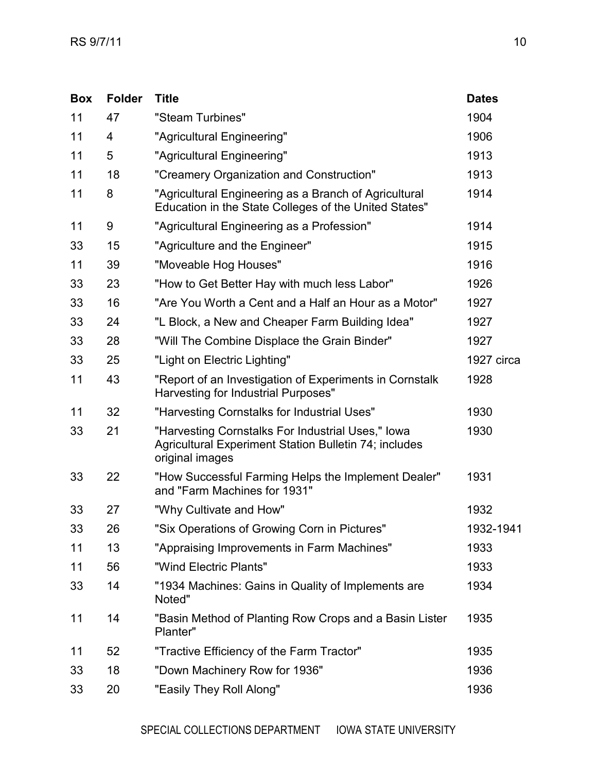| <b>Box</b> | <b>Folder</b> | <b>Title</b>                                                                                                                         | <b>Dates</b> |
|------------|---------------|--------------------------------------------------------------------------------------------------------------------------------------|--------------|
| 11         | 47            | "Steam Turbines"                                                                                                                     | 1904         |
| 11         | 4             | "Agricultural Engineering"                                                                                                           | 1906         |
| 11         | 5             | "Agricultural Engineering"                                                                                                           | 1913         |
| 11         | 18            | "Creamery Organization and Construction"                                                                                             | 1913         |
| 11         | 8             | "Agricultural Engineering as a Branch of Agricultural<br>Education in the State Colleges of the United States"                       | 1914         |
| 11         | 9             | "Agricultural Engineering as a Profession"                                                                                           | 1914         |
| 33         | 15            | "Agriculture and the Engineer"                                                                                                       | 1915         |
| 11         | 39            | "Moveable Hog Houses"                                                                                                                | 1916         |
| 33         | 23            | "How to Get Better Hay with much less Labor"                                                                                         | 1926         |
| 33         | 16            | "Are You Worth a Cent and a Half an Hour as a Motor"                                                                                 | 1927         |
| 33         | 24            | "L Block, a New and Cheaper Farm Building Idea"                                                                                      | 1927         |
| 33         | 28            | "Will The Combine Displace the Grain Binder"                                                                                         | 1927         |
| 33         | 25            | "Light on Electric Lighting"                                                                                                         | 1927 circa   |
| 11         | 43            | "Report of an Investigation of Experiments in Cornstalk<br>Harvesting for Industrial Purposes"                                       | 1928         |
| 11         | 32            | "Harvesting Cornstalks for Industrial Uses"                                                                                          | 1930         |
| 33         | 21            | "Harvesting Cornstalks For Industrial Uses," lowa<br><b>Agricultural Experiment Station Bulletin 74; includes</b><br>original images | 1930         |
| 33         | 22            | "How Successful Farming Helps the Implement Dealer"<br>and "Farm Machines for 1931"                                                  | 1931         |
| 33         | 27            | "Why Cultivate and How"                                                                                                              | 1932         |
| 33         | 26            | "Six Operations of Growing Corn in Pictures"                                                                                         | 1932-1941    |
| 11         | 13            | "Appraising Improvements in Farm Machines"                                                                                           | 1933         |
| 11         | 56            | "Wind Electric Plants"                                                                                                               | 1933         |
| 33         | 14            | "1934 Machines: Gains in Quality of Implements are<br>Noted"                                                                         | 1934         |
| 11         | 14            | "Basin Method of Planting Row Crops and a Basin Lister<br>Planter"                                                                   | 1935         |
| 11         | 52            | "Tractive Efficiency of the Farm Tractor"                                                                                            | 1935         |
| 33         | 18            | "Down Machinery Row for 1936"                                                                                                        | 1936         |
| 33         | 20            | "Easily They Roll Along"                                                                                                             | 1936         |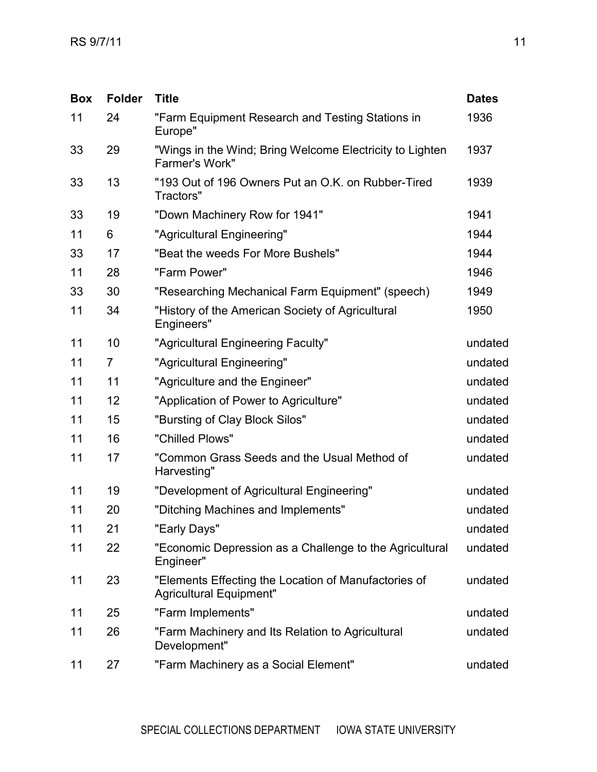| <b>Box</b> | <b>Folder</b> | <b>Title</b>                                                                           | <b>Dates</b> |
|------------|---------------|----------------------------------------------------------------------------------------|--------------|
| 11         | 24            | "Farm Equipment Research and Testing Stations in<br>Europe"                            | 1936         |
| 33         | 29            | "Wings in the Wind; Bring Welcome Electricity to Lighten<br>Farmer's Work"             | 1937         |
| 33         | 13            | "193 Out of 196 Owners Put an O.K. on Rubber-Tired<br>Tractors"                        | 1939         |
| 33         | 19            | "Down Machinery Row for 1941"                                                          | 1941         |
| 11         | 6             | "Agricultural Engineering"                                                             | 1944         |
| 33         | 17            | "Beat the weeds For More Bushels"                                                      | 1944         |
| 11         | 28            | "Farm Power"                                                                           | 1946         |
| 33         | 30            | "Researching Mechanical Farm Equipment" (speech)                                       | 1949         |
| 11         | 34            | "History of the American Society of Agricultural<br>Engineers"                         | 1950         |
| 11         | 10            | "Agricultural Engineering Faculty"                                                     | undated      |
| 11         | 7             | "Agricultural Engineering"                                                             | undated      |
| 11         | 11            | "Agriculture and the Engineer"                                                         | undated      |
| 11         | 12            | "Application of Power to Agriculture"                                                  | undated      |
| 11         | 15            | "Bursting of Clay Block Silos"                                                         | undated      |
| 11         | 16            | "Chilled Plows"                                                                        | undated      |
| 11         | 17            | "Common Grass Seeds and the Usual Method of<br>Harvesting"                             | undated      |
| 11         | 19            | "Development of Agricultural Engineering"                                              | undated      |
| 11         | 20            | "Ditching Machines and Implements"                                                     | undated      |
| 11         | 21            | "Early Days"                                                                           | undated      |
| 11         | 22            | "Economic Depression as a Challenge to the Agricultural<br>Engineer"                   | undated      |
| 11         | 23            | "Elements Effecting the Location of Manufactories of<br><b>Agricultural Equipment"</b> | undated      |
| 11         | 25            | "Farm Implements"                                                                      | undated      |
| 11         | 26            | "Farm Machinery and Its Relation to Agricultural<br>Development"                       | undated      |
| 11         | 27            | "Farm Machinery as a Social Element"                                                   | undated      |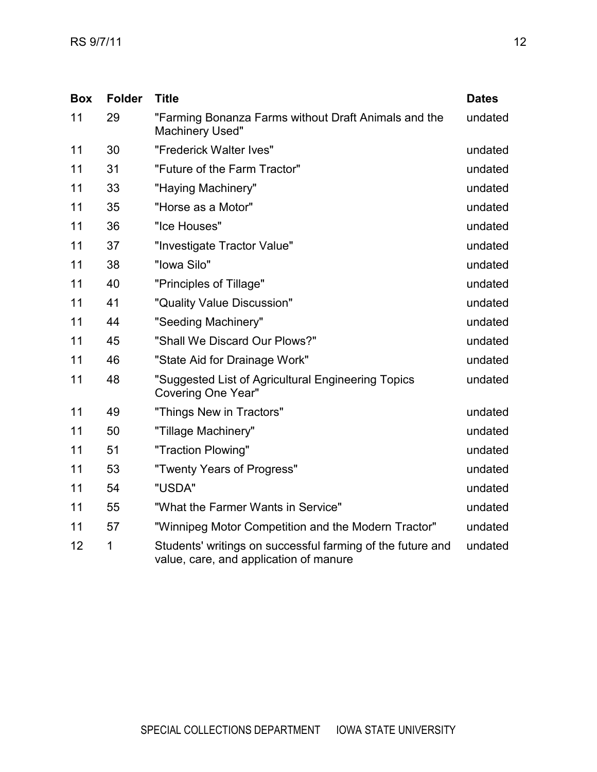| <b>Box</b> | <b>Folder</b> | <b>Title</b>                                                                                         | <b>Dates</b> |
|------------|---------------|------------------------------------------------------------------------------------------------------|--------------|
| 11         | 29            | "Farming Bonanza Farms without Draft Animals and the<br><b>Machinery Used"</b>                       | undated      |
| 11         | 30            | "Frederick Walter Ives"                                                                              | undated      |
| 11         | 31            | "Future of the Farm Tractor"                                                                         | undated      |
| 11         | 33            | "Haying Machinery"                                                                                   | undated      |
| 11         | 35            | "Horse as a Motor"                                                                                   | undated      |
| 11         | 36            | "Ice Houses"                                                                                         | undated      |
| 11         | 37            | "Investigate Tractor Value"                                                                          | undated      |
| 11         | 38            | "Iowa Silo"                                                                                          | undated      |
| 11         | 40            | "Principles of Tillage"                                                                              | undated      |
| 11         | 41            | "Quality Value Discussion"                                                                           | undated      |
| 11         | 44            | "Seeding Machinery"                                                                                  | undated      |
| 11         | 45            | "Shall We Discard Our Plows?"                                                                        | undated      |
| 11         | 46            | "State Aid for Drainage Work"                                                                        | undated      |
| 11         | 48            | "Suggested List of Agricultural Engineering Topics<br><b>Covering One Year"</b>                      | undated      |
| 11         | 49            | "Things New in Tractors"                                                                             | undated      |
| 11         | 50            | "Tillage Machinery"                                                                                  | undated      |
| 11         | 51            | "Traction Plowing"                                                                                   | undated      |
| 11         | 53            | "Twenty Years of Progress"                                                                           | undated      |
| 11         | 54            | "USDA"                                                                                               | undated      |
| 11         | 55            | "What the Farmer Wants in Service"                                                                   | undated      |
| 11         | 57            | "Winnipeg Motor Competition and the Modern Tractor"                                                  | undated      |
| 12         | 1             | Students' writings on successful farming of the future and<br>value, care, and application of manure | undated      |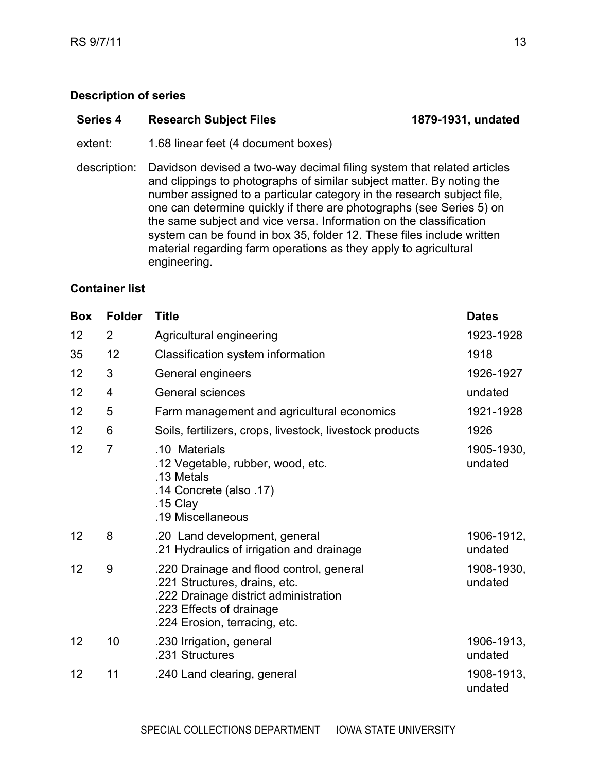<span id="page-12-0"></span>

| Series 4<br><b>Research Subject Files</b> | 1879-1931, undated |
|-------------------------------------------|--------------------|
|-------------------------------------------|--------------------|

extent: 1.68 linear feet (4 document boxes)

description: Davidson devised a two-way decimal filing system that related articles and clippings to photographs of similar subject matter. By noting the number assigned to a particular category in the research subject file, one can determine quickly if there are photographs (see Series 5) on the same subject and vice versa. Information on the classification system can be found in box 35, folder 12. These files include written material regarding farm operations as they apply to agricultural engineering.

| <b>Box</b> | <b>Folder</b>  | <b>Title</b>                                                                                                                                                                    | <b>Dates</b>          |
|------------|----------------|---------------------------------------------------------------------------------------------------------------------------------------------------------------------------------|-----------------------|
| 12         | $\overline{2}$ | Agricultural engineering                                                                                                                                                        | 1923-1928             |
| 35         | 12             | Classification system information                                                                                                                                               | 1918                  |
| 12         | 3              | General engineers                                                                                                                                                               | 1926-1927             |
| 12         | 4              | <b>General sciences</b>                                                                                                                                                         | undated               |
| 12         | 5              | Farm management and agricultural economics                                                                                                                                      | 1921-1928             |
| 12         | 6              | Soils, fertilizers, crops, livestock, livestock products                                                                                                                        | 1926                  |
| 12         | $\overline{7}$ | .10 Materials<br>.12 Vegetable, rubber, wood, etc.<br>.13 Metals<br>.14 Concrete (also .17)<br>.15 Clay<br>.19 Miscellaneous                                                    | 1905-1930,<br>undated |
| 12         | 8              | .20 Land development, general<br>.21 Hydraulics of irrigation and drainage                                                                                                      | 1906-1912,<br>undated |
| 12         | 9              | .220 Drainage and flood control, general<br>.221 Structures, drains, etc.<br>.222 Drainage district administration<br>.223 Effects of drainage<br>.224 Erosion, terracing, etc. | 1908-1930,<br>undated |
| 12         | 10             | .230 Irrigation, general<br>.231 Structures                                                                                                                                     | 1906-1913,<br>undated |
| 12         | 11             | .240 Land clearing, general                                                                                                                                                     | 1908-1913,<br>undated |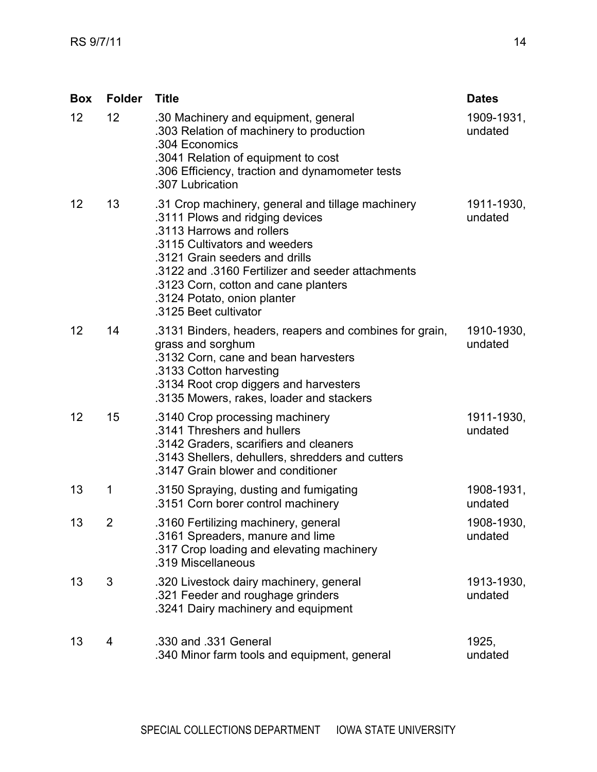| Box               | <b>Folder</b> | <b>Title</b>                                                                                                                                                                                                                                                                                                                              | <b>Dates</b>          |
|-------------------|---------------|-------------------------------------------------------------------------------------------------------------------------------------------------------------------------------------------------------------------------------------------------------------------------------------------------------------------------------------------|-----------------------|
| 12                | 12            | .30 Machinery and equipment, general<br>.303 Relation of machinery to production<br>.304 Economics<br>.3041 Relation of equipment to cost<br>.306 Efficiency, traction and dynamometer tests<br>.307 Lubrication                                                                                                                          | 1909-1931,<br>undated |
| 12                | 13            | .31 Crop machinery, general and tillage machinery<br>.3111 Plows and ridging devices<br>.3113 Harrows and rollers<br>.3115 Cultivators and weeders<br>.3121 Grain seeders and drills<br>.3122 and .3160 Fertilizer and seeder attachments<br>.3123 Corn, cotton and cane planters<br>.3124 Potato, onion planter<br>.3125 Beet cultivator | 1911-1930,<br>undated |
| $12 \overline{ }$ | 14            | .3131 Binders, headers, reapers and combines for grain,<br>grass and sorghum<br>.3132 Corn, cane and bean harvesters<br>.3133 Cotton harvesting<br>.3134 Root crop diggers and harvesters<br>.3135 Mowers, rakes, loader and stackers                                                                                                     | 1910-1930,<br>undated |
| 12                | 15            | .3140 Crop processing machinery<br>.3141 Threshers and hullers<br>.3142 Graders, scarifiers and cleaners<br>.3143 Shellers, dehullers, shredders and cutters<br>.3147 Grain blower and conditioner                                                                                                                                        | 1911-1930,<br>undated |
| 13                | 1             | .3150 Spraying, dusting and fumigating<br>.3151 Corn borer control machinery                                                                                                                                                                                                                                                              | 1908-1931,<br>undated |
| 13                | 2             | 3160 Fertilizing machinery, general<br>.3161 Spreaders, manure and lime<br>.317 Crop loading and elevating machinery<br>.319 Miscellaneous                                                                                                                                                                                                | 1908-1930,<br>undated |
| 13                | 3             | .320 Livestock dairy machinery, general<br>.321 Feeder and roughage grinders<br>.3241 Dairy machinery and equipment                                                                                                                                                                                                                       | 1913-1930,<br>undated |
| 13                | 4             | .330 and .331 General<br>.340 Minor farm tools and equipment, general                                                                                                                                                                                                                                                                     | 1925,<br>undated      |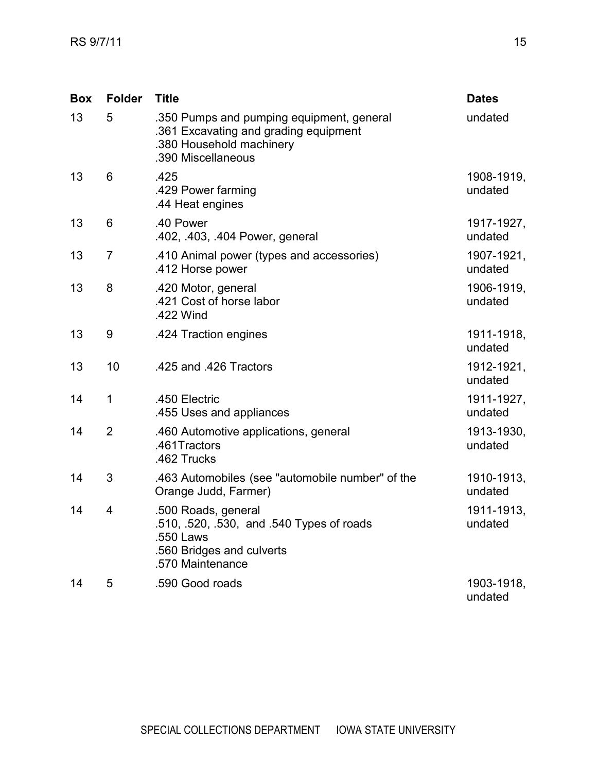| <b>Box</b> | <b>Folder</b>  | <b>Title</b>                                                                                                                         | <b>Dates</b>          |
|------------|----------------|--------------------------------------------------------------------------------------------------------------------------------------|-----------------------|
| 13         | 5              | .350 Pumps and pumping equipment, general<br>.361 Excavating and grading equipment<br>.380 Household machinery<br>.390 Miscellaneous | undated               |
| 13         | 6              | .425<br>.429 Power farming<br>.44 Heat engines                                                                                       | 1908-1919,<br>undated |
| 13         | 6              | .40 Power<br>.402, .403, .404 Power, general                                                                                         | 1917-1927,<br>undated |
| 13         | 7              | .410 Animal power (types and accessories)<br>.412 Horse power                                                                        | 1907-1921,<br>undated |
| 13         | 8              | .420 Motor, general<br>.421 Cost of horse labor<br>.422 Wind                                                                         | 1906-1919,<br>undated |
| 13         | 9              | .424 Traction engines                                                                                                                | 1911-1918,<br>undated |
| 13         | 10             | .425 and .426 Tractors                                                                                                               | 1912-1921,<br>undated |
| 14         | 1              | .450 Electric<br>.455 Uses and appliances                                                                                            | 1911-1927,<br>undated |
| 14         | $\overline{2}$ | .460 Automotive applications, general<br>.461Tractors<br>.462 Trucks                                                                 | 1913-1930,<br>undated |
| 14         | 3              | .463 Automobiles (see "automobile number" of the<br>Orange Judd, Farmer)                                                             | 1910-1913,<br>undated |
| 14         | 4              | .500 Roads, general<br>510, 520, 530, and 540 Types of roads<br>.550 Laws<br>.560 Bridges and culverts<br>.570 Maintenance           | 1911-1913,<br>undated |
| 14         | 5              | .590 Good roads                                                                                                                      | 1903-1918,<br>undated |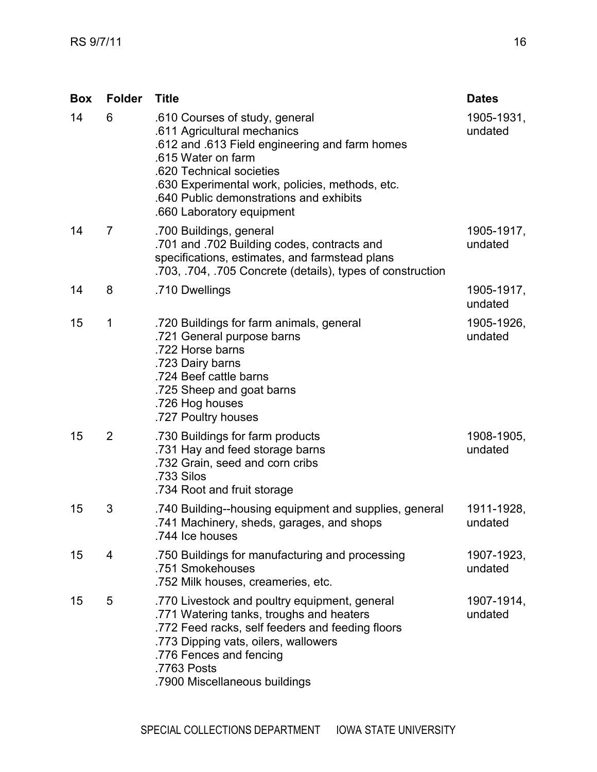| <b>Box</b> | <b>Folder</b>  | <b>Title</b>                                                                                                                                                                                                                                                                                 | <b>Dates</b>          |
|------------|----------------|----------------------------------------------------------------------------------------------------------------------------------------------------------------------------------------------------------------------------------------------------------------------------------------------|-----------------------|
| 14         | 6              | .610 Courses of study, general<br>.611 Agricultural mechanics<br>.612 and .613 Field engineering and farm homes<br>.615 Water on farm<br>.620 Technical societies<br>.630 Experimental work, policies, methods, etc.<br>.640 Public demonstrations and exhibits<br>.660 Laboratory equipment | 1905-1931,<br>undated |
| 14         | $\overline{7}$ | .700 Buildings, general<br>.701 and .702 Building codes, contracts and<br>specifications, estimates, and farmstead plans<br>.703, .704, .705 Concrete (details), types of construction                                                                                                       | 1905-1917,<br>undated |
| 14         | 8              | .710 Dwellings                                                                                                                                                                                                                                                                               | 1905-1917,<br>undated |
| 15         | 1              | .720 Buildings for farm animals, general<br>.721 General purpose barns<br>.722 Horse barns<br>.723 Dairy barns<br>.724 Beef cattle barns<br>.725 Sheep and goat barns<br>.726 Hog houses<br>.727 Poultry houses                                                                              | 1905-1926,<br>undated |
| 15         | $\overline{2}$ | .730 Buildings for farm products<br>.731 Hay and feed storage barns<br>.732 Grain, seed and corn cribs<br>.733 Silos<br>.734 Root and fruit storage                                                                                                                                          | 1908-1905,<br>undated |
| 15         | 3              | .740 Building--housing equipment and supplies, general<br>741 Machinery, sheds, garages, and shops<br>.744 Ice houses                                                                                                                                                                        | 1911-1928,<br>undated |
| 15         | 4              | .750 Buildings for manufacturing and processing<br>.751 Smokehouses<br>.752 Milk houses, creameries, etc.                                                                                                                                                                                    | 1907-1923,<br>undated |
| 15         | 5              | .770 Livestock and poultry equipment, general<br>.771 Watering tanks, troughs and heaters<br>.772 Feed racks, self feeders and feeding floors<br>.773 Dipping vats, oilers, wallowers<br>.776 Fences and fencing<br>.7763 Posts<br>.7900 Miscellaneous buildings                             | 1907-1914,<br>undated |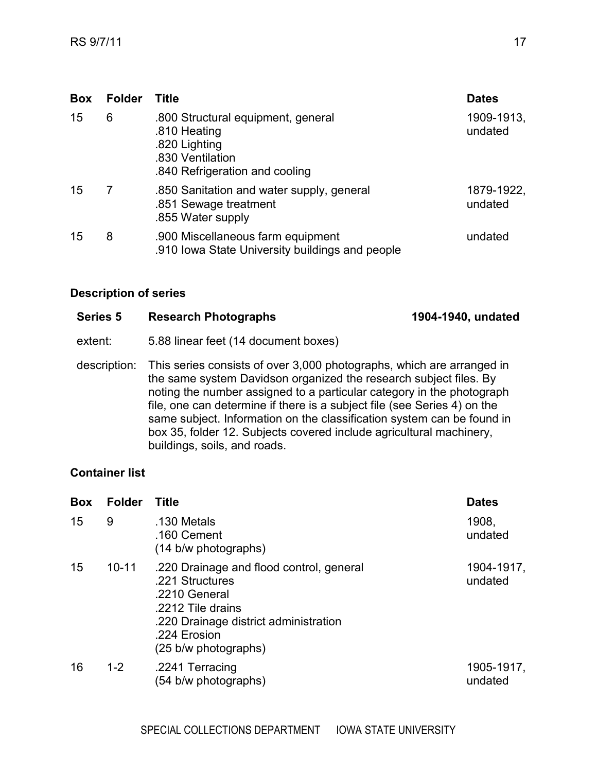| <b>Box</b> | <b>Folder</b> | <b>Title</b>                                                                                                              | <b>Dates</b>          |
|------------|---------------|---------------------------------------------------------------------------------------------------------------------------|-----------------------|
| 15         | 6             | .800 Structural equipment, general<br>.810 Heating<br>.820 Lighting<br>.830 Ventilation<br>.840 Refrigeration and cooling | 1909-1913,<br>undated |
| 15         | 7             | .850 Sanitation and water supply, general<br>.851 Sewage treatment<br>.855 Water supply                                   | 1879-1922,<br>undated |
| 15         | 8             | .900 Miscellaneous farm equipment<br>.910 Iowa State University buildings and people                                      | undated               |

<span id="page-16-0"></span>

| <b>Series 5</b> | <b>Research Photographs</b>                                                                                                                                                                                                                                                                                                                                                                                                                                                      | 1904-1940, undated |
|-----------------|----------------------------------------------------------------------------------------------------------------------------------------------------------------------------------------------------------------------------------------------------------------------------------------------------------------------------------------------------------------------------------------------------------------------------------------------------------------------------------|--------------------|
| extent:         | 5.88 linear feet (14 document boxes)                                                                                                                                                                                                                                                                                                                                                                                                                                             |                    |
| description:    | This series consists of over 3,000 photographs, which are arranged in<br>the same system Davidson organized the research subject files. By<br>noting the number assigned to a particular category in the photograph<br>file, one can determine if there is a subject file (see Series 4) on the<br>same subject. Information on the classification system can be found in<br>box 35, folder 12. Subjects covered include agricultural machinery,<br>buildings, soils, and roads. |                    |

| <b>Box</b>       | <b>Folder</b> | <b>Title</b>                                                                                                                                                                       | <b>Dates</b>          |
|------------------|---------------|------------------------------------------------------------------------------------------------------------------------------------------------------------------------------------|-----------------------|
| 15               | 9             | .130 Metals<br>.160 Cement<br>(14 b/w photographs)                                                                                                                                 | 1908.<br>undated      |
| 15 <sup>15</sup> | $10 - 11$     | .220 Drainage and flood control, general<br>.221 Structures<br>.2210 General<br>.2212 Tile drains<br>.220 Drainage district administration<br>.224 Erosion<br>(25 b/w photographs) | 1904-1917,<br>undated |
| 16               | $1 - 2$       | .2241 Terracing<br>(54 b/w photographs)                                                                                                                                            | 1905-1917,<br>undated |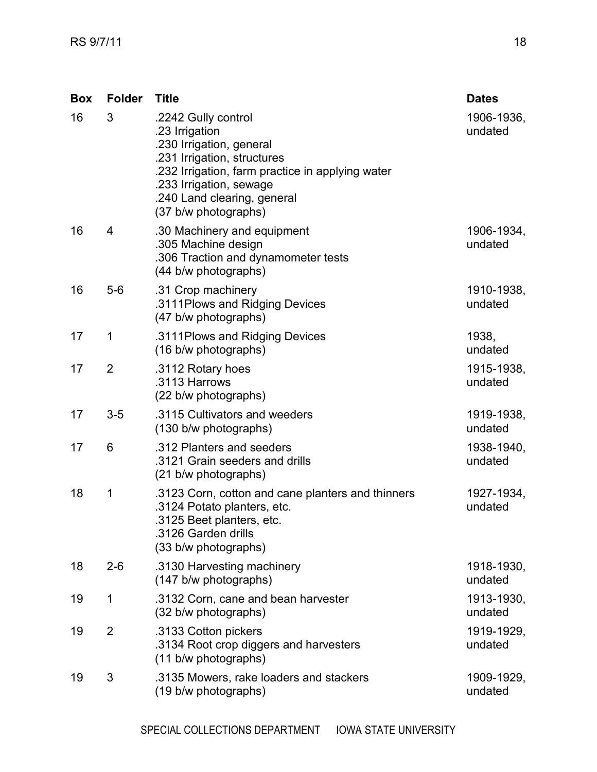| <b>Box</b> | <b>Folder</b>  | <b>Title</b>                                                                                                                                                                                                                           | <b>Dates</b>          |
|------------|----------------|----------------------------------------------------------------------------------------------------------------------------------------------------------------------------------------------------------------------------------------|-----------------------|
| 16         | 3              | .2242 Gully control<br>.23 Irrigation<br>.230 Irrigation, general<br>.231 Irrigation, structures<br>.232 Irrigation, farm practice in applying water<br>.233 Irrigation, sewage<br>.240 Land clearing, general<br>(37 b/w photographs) | 1906-1936,<br>undated |
| 16         | 4              | .30 Machinery and equipment<br>.305 Machine design<br>.306 Traction and dynamometer tests<br>(44 b/w photographs)                                                                                                                      | 1906-1934,<br>undated |
| 16         | $5-6$          | .31 Crop machinery<br>.3111 Plows and Ridging Devices<br>(47 b/w photographs)                                                                                                                                                          | 1910-1938,<br>undated |
| 17         | 1              | .3111 Plows and Ridging Devices<br>(16 b/w photographs)                                                                                                                                                                                | 1938,<br>undated      |
| 17         | $\overline{2}$ | .3112 Rotary hoes<br>.3113 Harrows<br>(22 b/w photographs)                                                                                                                                                                             | 1915-1938,<br>undated |
| 17         | $3-5$          | .3115 Cultivators and weeders<br>(130 b/w photographs)                                                                                                                                                                                 | 1919-1938,<br>undated |
| 17         | 6              | .312 Planters and seeders<br>.3121 Grain seeders and drills<br>(21 b/w photographs)                                                                                                                                                    | 1938-1940,<br>undated |
| 18         | 1              | .3123 Corn, cotton and cane planters and thinners<br>.3124 Potato planters, etc.<br>.3125 Beet planters, etc.<br>.3126 Garden drills<br>(33 b/w photographs)                                                                           | 1927-1934,<br>undated |
| 18         | $2 - 6$        | .3130 Harvesting machinery<br>(147 b/w photographs)                                                                                                                                                                                    | 1918-1930,<br>undated |
| 19         | 1              | .3132 Corn, cane and bean harvester<br>(32 b/w photographs)                                                                                                                                                                            | 1913-1930,<br>undated |
| 19         | $\overline{2}$ | .3133 Cotton pickers<br>.3134 Root crop diggers and harvesters<br>(11 b/w photographs)                                                                                                                                                 | 1919-1929,<br>undated |
| 19         | 3              | .3135 Mowers, rake loaders and stackers<br>(19 b/w photographs)                                                                                                                                                                        | 1909-1929,<br>undated |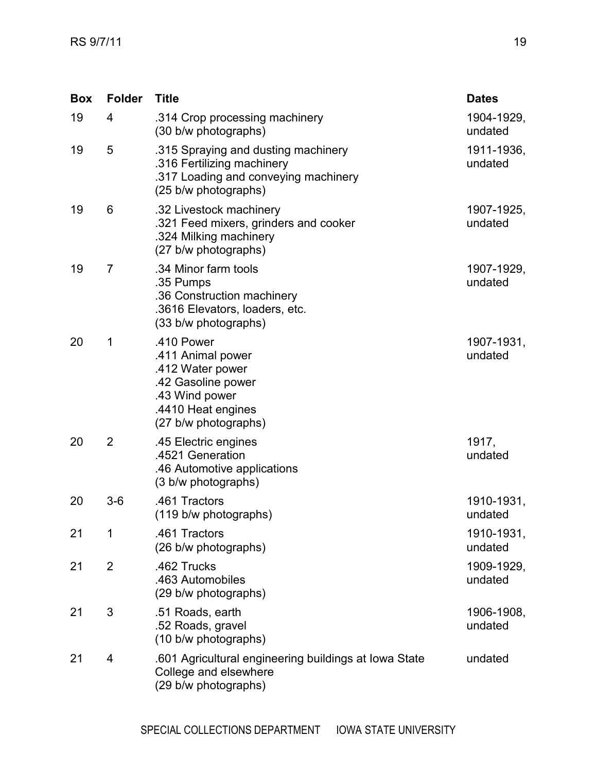| <b>Box</b> | <b>Folder</b>  | <b>Title</b>                                                                                                                              | <b>Dates</b>          |
|------------|----------------|-------------------------------------------------------------------------------------------------------------------------------------------|-----------------------|
| 19         | 4              | .314 Crop processing machinery<br>(30 b/w photographs)                                                                                    | 1904-1929,<br>undated |
| 19         | 5              | .315 Spraying and dusting machinery<br>.316 Fertilizing machinery<br>.317 Loading and conveying machinery<br>(25 b/w photographs)         | 1911-1936,<br>undated |
| 19         | 6              | .32 Livestock machinery<br>.321 Feed mixers, grinders and cooker<br>.324 Milking machinery<br>(27 b/w photographs)                        | 1907-1925,<br>undated |
| 19         | $\overline{7}$ | .34 Minor farm tools<br>.35 Pumps<br>.36 Construction machinery<br>.3616 Elevators, loaders, etc.<br>(33 b/w photographs)                 | 1907-1929,<br>undated |
| 20         | 1              | .410 Power<br>.411 Animal power<br>.412 Water power<br>.42 Gasoline power<br>.43 Wind power<br>.4410 Heat engines<br>(27 b/w photographs) | 1907-1931,<br>undated |
| 20         | $\overline{2}$ | .45 Electric engines<br>.4521 Generation<br>.46 Automotive applications<br>(3 b/w photographs)                                            | 1917,<br>undated      |
| 20         | $3-6$          | .461 Tractors<br>(119 b/w photographs)                                                                                                    | 1910-1931,<br>undated |
| 21         | 1              | .461 Tractors<br>(26 b/w photographs)                                                                                                     | 1910-1931,<br>undated |
| 21         | $\overline{2}$ | .462 Trucks<br>.463 Automobiles<br>(29 b/w photographs)                                                                                   | 1909-1929,<br>undated |
| 21         | 3              | .51 Roads, earth<br>.52 Roads, gravel<br>(10 b/w photographs)                                                                             | 1906-1908,<br>undated |
| 21         | 4              | .601 Agricultural engineering buildings at Iowa State<br>College and elsewhere<br>(29 b/w photographs)                                    | undated               |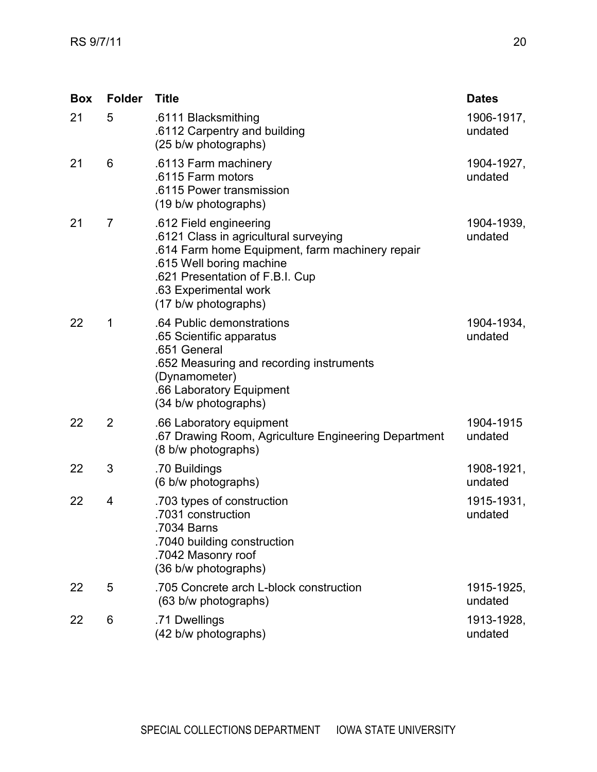| <b>Box</b> | <b>Folder</b>  | <b>Title</b>                                                                                                                                                                                                                       | <b>Dates</b>          |
|------------|----------------|------------------------------------------------------------------------------------------------------------------------------------------------------------------------------------------------------------------------------------|-----------------------|
| 21         | 5              | .6111 Blacksmithing<br>.6112 Carpentry and building<br>(25 b/w photographs)                                                                                                                                                        | 1906-1917,<br>undated |
| 21         | 6              | .6113 Farm machinery<br>.6115 Farm motors<br>.6115 Power transmission<br>(19 b/w photographs)                                                                                                                                      | 1904-1927,<br>undated |
| 21         | $\overline{7}$ | .612 Field engineering<br>.6121 Class in agricultural surveying<br>.614 Farm home Equipment, farm machinery repair<br>.615 Well boring machine<br>.621 Presentation of F.B.I. Cup<br>.63 Experimental work<br>(17 b/w photographs) | 1904-1939,<br>undated |
| 22         | 1              | .64 Public demonstrations<br>.65 Scientific apparatus<br>.651 General<br>.652 Measuring and recording instruments<br>(Dynamometer)<br>.66 Laboratory Equipment<br>(34 b/w photographs)                                             | 1904-1934,<br>undated |
| 22         | $\overline{2}$ | .66 Laboratory equipment<br>.67 Drawing Room, Agriculture Engineering Department<br>(8 b/w photographs)                                                                                                                            | 1904-1915<br>undated  |
| 22         | 3              | .70 Buildings<br>(6 b/w photographs)                                                                                                                                                                                               | 1908-1921,<br>undated |
| 22         | 4              | .703 types of construction<br>.7031 construction<br>.7034 Barns<br>.7040 building construction<br>.7042 Masonry roof<br>(36 b/w photographs)                                                                                       | 1915-1931,<br>undated |
| 22         | 5              | .705 Concrete arch L-block construction<br>(63 b/w photographs)                                                                                                                                                                    | 1915-1925,<br>undated |
| 22         | 6              | .71 Dwellings<br>(42 b/w photographs)                                                                                                                                                                                              | 1913-1928,<br>undated |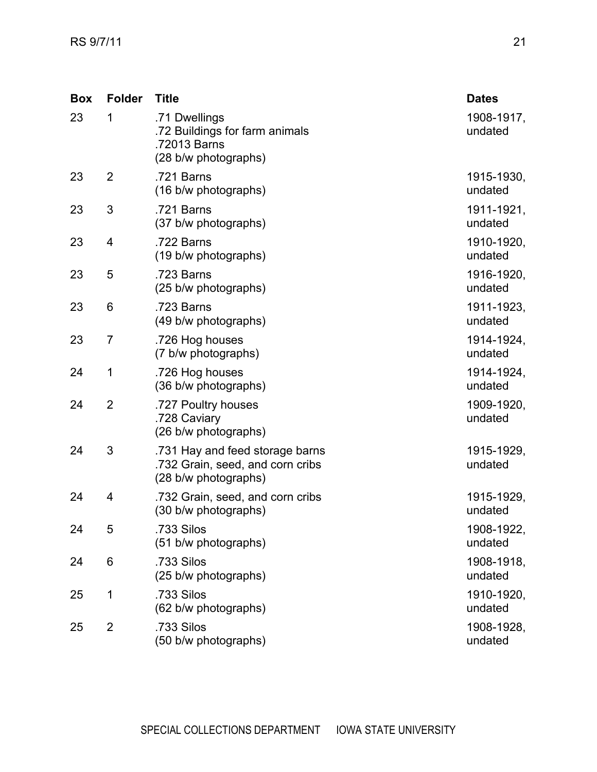| <b>Box</b> | <b>Folder</b>  | <b>Title</b>                                                                                | <b>Dates</b>          |
|------------|----------------|---------------------------------------------------------------------------------------------|-----------------------|
| 23         | 1              | .71 Dwellings<br>.72 Buildings for farm animals<br>.72013 Barns<br>(28 b/w photographs)     | 1908-1917,<br>undated |
| 23         | $\overline{2}$ | .721 Barns<br>(16 b/w photographs)                                                          | 1915-1930,<br>undated |
| 23         | 3              | .721 Barns<br>(37 b/w photographs)                                                          | 1911-1921,<br>undated |
| 23         | 4              | .722 Barns<br>(19 b/w photographs)                                                          | 1910-1920,<br>undated |
| 23         | 5              | .723 Barns<br>(25 b/w photographs)                                                          | 1916-1920,<br>undated |
| 23         | 6              | .723 Barns<br>(49 b/w photographs)                                                          | 1911-1923,<br>undated |
| 23         | $\overline{7}$ | .726 Hog houses<br>(7 b/w photographs)                                                      | 1914-1924,<br>undated |
| 24         | 1              | .726 Hog houses<br>(36 b/w photographs)                                                     | 1914-1924,<br>undated |
| 24         | $\overline{2}$ | .727 Poultry houses<br>.728 Caviary<br>(26 b/w photographs)                                 | 1909-1920,<br>undated |
| 24         | 3              | .731 Hay and feed storage barns<br>.732 Grain, seed, and corn cribs<br>(28 b/w photographs) | 1915-1929,<br>undated |
| 24         | 4              | .732 Grain, seed, and corn cribs<br>(30 b/w photographs)                                    | 1915-1929,<br>undated |
| 24         | 5              | .733 Silos<br>(51 b/w photographs)                                                          | 1908-1922,<br>undated |
| 24         | 6              | .733 Silos<br>(25 b/w photographs)                                                          | 1908-1918,<br>undated |
| 25         | 1              | .733 Silos<br>(62 b/w photographs)                                                          | 1910-1920,<br>undated |
| 25         | $\overline{2}$ | .733 Silos<br>(50 b/w photographs)                                                          | 1908-1928,<br>undated |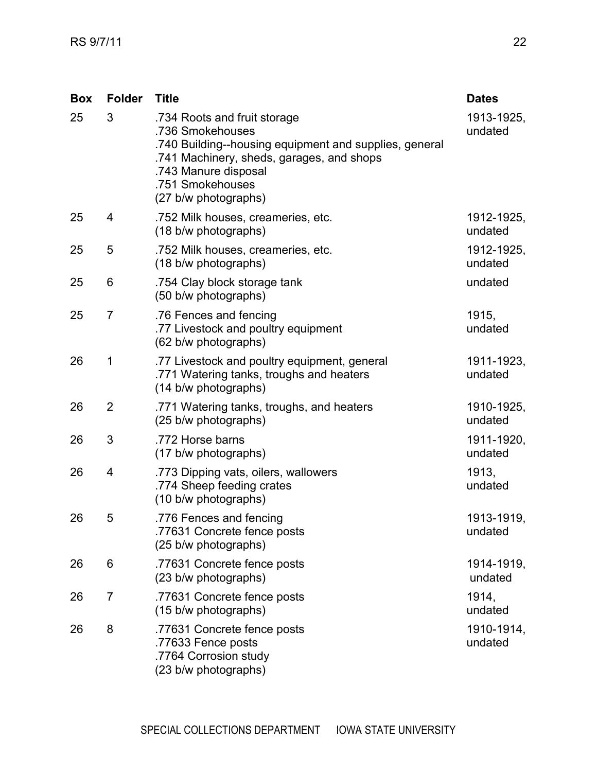| <b>Box</b> | <b>Folder</b>  | <b>Title</b>                                                                                                                                                                                                                | <b>Dates</b>          |
|------------|----------------|-----------------------------------------------------------------------------------------------------------------------------------------------------------------------------------------------------------------------------|-----------------------|
| 25         | 3              | .734 Roots and fruit storage<br>.736 Smokehouses<br>.740 Building--housing equipment and supplies, general<br>.741 Machinery, sheds, garages, and shops<br>.743 Manure disposal<br>.751 Smokehouses<br>(27 b/w photographs) | 1913-1925,<br>undated |
| 25         | 4              | .752 Milk houses, creameries, etc.<br>(18 b/w photographs)                                                                                                                                                                  | 1912-1925,<br>undated |
| 25         | 5              | .752 Milk houses, creameries, etc.<br>(18 b/w photographs)                                                                                                                                                                  | 1912-1925,<br>undated |
| 25         | 6              | .754 Clay block storage tank<br>(50 b/w photographs)                                                                                                                                                                        | undated               |
| 25         | $\overline{7}$ | .76 Fences and fencing<br>.77 Livestock and poultry equipment<br>(62 b/w photographs)                                                                                                                                       | 1915,<br>undated      |
| 26         | 1              | .77 Livestock and poultry equipment, general<br>.771 Watering tanks, troughs and heaters<br>(14 b/w photographs)                                                                                                            | 1911-1923,<br>undated |
| 26         | $\overline{2}$ | .771 Watering tanks, troughs, and heaters<br>(25 b/w photographs)                                                                                                                                                           | 1910-1925,<br>undated |
| 26         | 3              | .772 Horse barns<br>(17 b/w photographs)                                                                                                                                                                                    | 1911-1920,<br>undated |
| 26         | 4              | .773 Dipping vats, oilers, wallowers<br>.774 Sheep feeding crates<br>(10 b/w photographs)                                                                                                                                   | 1913,<br>undated      |
| 26         | 5              | .776 Fences and fencing<br>.77631 Concrete fence posts<br>(25 b/w photographs)                                                                                                                                              | 1913-1919,<br>undated |
| 26         | 6              | .77631 Concrete fence posts<br>(23 b/w photographs)                                                                                                                                                                         | 1914-1919,<br>undated |
| 26         | $\overline{7}$ | .77631 Concrete fence posts<br>(15 b/w photographs)                                                                                                                                                                         | 1914,<br>undated      |
| 26         | 8              | .77631 Concrete fence posts<br>.77633 Fence posts<br>.7764 Corrosion study<br>(23 b/w photographs)                                                                                                                          | 1910-1914,<br>undated |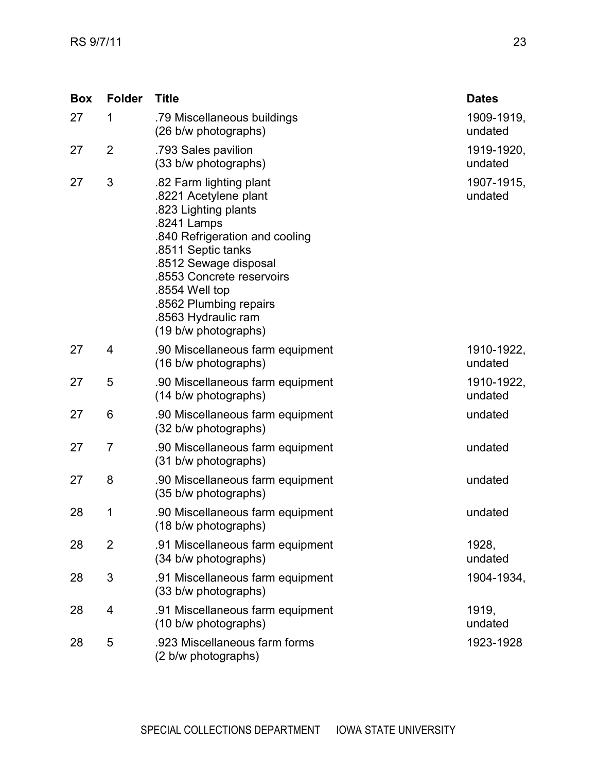| <b>Box</b> | <b>Folder</b>  | <b>Title</b>                                                                                                                                                                                                                                                                                     | <b>Dates</b>          |
|------------|----------------|--------------------------------------------------------------------------------------------------------------------------------------------------------------------------------------------------------------------------------------------------------------------------------------------------|-----------------------|
| 27         | $\mathbf 1$    | .79 Miscellaneous buildings<br>(26 b/w photographs)                                                                                                                                                                                                                                              | 1909-1919,<br>undated |
| 27         | $\overline{2}$ | .793 Sales pavilion<br>(33 b/w photographs)                                                                                                                                                                                                                                                      | 1919-1920,<br>undated |
| 27         | 3              | .82 Farm lighting plant<br>.8221 Acetylene plant<br>.823 Lighting plants<br>.8241 Lamps<br>.840 Refrigeration and cooling<br>.8511 Septic tanks<br>.8512 Sewage disposal<br>.8553 Concrete reservoirs<br>.8554 Well top<br>.8562 Plumbing repairs<br>.8563 Hydraulic ram<br>(19 b/w photographs) | 1907-1915,<br>undated |
| 27         | 4              | .90 Miscellaneous farm equipment<br>(16 b/w photographs)                                                                                                                                                                                                                                         | 1910-1922,<br>undated |
| 27         | 5              | .90 Miscellaneous farm equipment<br>(14 b/w photographs)                                                                                                                                                                                                                                         | 1910-1922,<br>undated |
| 27         | 6              | .90 Miscellaneous farm equipment<br>(32 b/w photographs)                                                                                                                                                                                                                                         | undated               |
| 27         | $\overline{7}$ | .90 Miscellaneous farm equipment<br>(31 b/w photographs)                                                                                                                                                                                                                                         | undated               |
| 27         | 8              | .90 Miscellaneous farm equipment<br>(35 b/w photographs)                                                                                                                                                                                                                                         | undated               |
| 28         | 1              | .90 Miscellaneous farm equipment<br>(18 b/w photographs)                                                                                                                                                                                                                                         | undated               |
| 28         | 2              | .91 Miscellaneous farm equipment<br>(34 b/w photographs)                                                                                                                                                                                                                                         | 1928,<br>undated      |
| 28         | 3              | .91 Miscellaneous farm equipment<br>(33 b/w photographs)                                                                                                                                                                                                                                         | 1904-1934,            |
| 28         | 4              | .91 Miscellaneous farm equipment<br>(10 b/w photographs)                                                                                                                                                                                                                                         | 1919,<br>undated      |
| 28         | 5              | .923 Miscellaneous farm forms<br>(2 b/w photographs)                                                                                                                                                                                                                                             | 1923-1928             |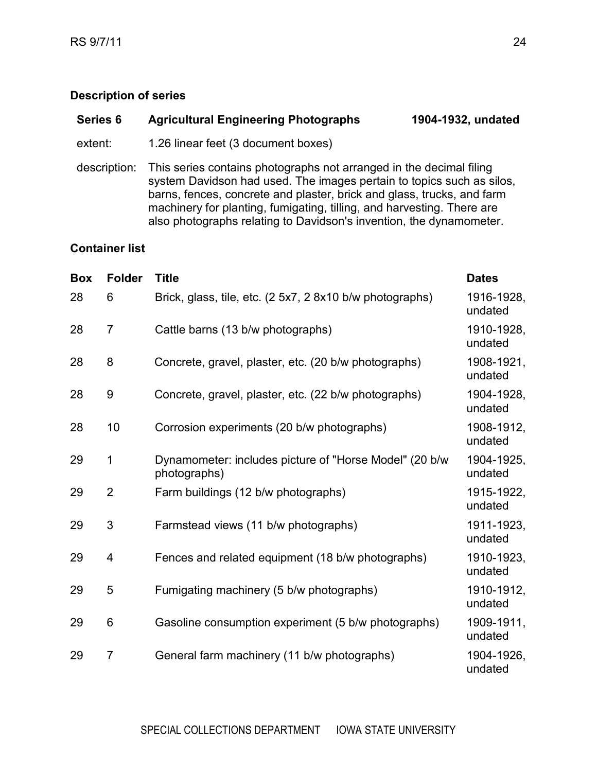## <span id="page-23-0"></span>**Series 6 Agricultural Engineering Photographs 1904-1932, undated**

extent: 1.26 linear feet (3 document boxes)

description: This series contains photographs not arranged in the decimal filing system Davidson had used. The images pertain to topics such as silos, barns, fences, concrete and plaster, brick and glass, trucks, and farm machinery for planting, fumigating, tilling, and harvesting. There are also photographs relating to Davidson's invention, the dynamometer.

| <b>Box</b> | <b>Folder</b>  | <b>Title</b>                                                           | <b>Dates</b>          |
|------------|----------------|------------------------------------------------------------------------|-----------------------|
| 28         | 6              | Brick, glass, tile, etc. (2 5x7, 2 8x10 b/w photographs)               | 1916-1928.<br>undated |
| 28         | $\overline{7}$ | Cattle barns (13 b/w photographs)                                      | 1910-1928,<br>undated |
| 28         | 8              | Concrete, gravel, plaster, etc. (20 b/w photographs)                   | 1908-1921,<br>undated |
| 28         | 9              | Concrete, gravel, plaster, etc. (22 b/w photographs)                   | 1904-1928,<br>undated |
| 28         | 10             | Corrosion experiments (20 b/w photographs)                             | 1908-1912,<br>undated |
| 29         | $\mathbf 1$    | Dynamometer: includes picture of "Horse Model" (20 b/w<br>photographs) | 1904-1925,<br>undated |
| 29         | $\overline{2}$ | Farm buildings (12 b/w photographs)                                    | 1915-1922,<br>undated |
| 29         | 3              | Farmstead views (11 b/w photographs)                                   | 1911-1923.<br>undated |
| 29         | 4              | Fences and related equipment (18 b/w photographs)                      | 1910-1923,<br>undated |
| 29         | 5              | Fumigating machinery (5 b/w photographs)                               | 1910-1912,<br>undated |
| 29         | 6              | Gasoline consumption experiment (5 b/w photographs)                    | 1909-1911.<br>undated |
| 29         | $\overline{7}$ | General farm machinery (11 b/w photographs)                            | 1904-1926.<br>undated |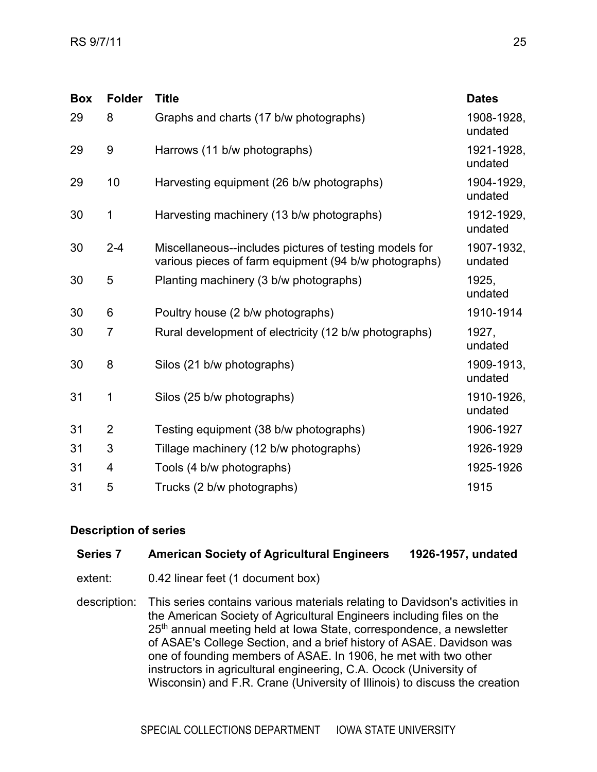| <b>Box</b> | <b>Folder</b>  | <b>Title</b>                                                                                                    | <b>Dates</b>          |
|------------|----------------|-----------------------------------------------------------------------------------------------------------------|-----------------------|
| 29         | 8              | Graphs and charts (17 b/w photographs)                                                                          | 1908-1928,<br>undated |
| 29         | 9              | Harrows (11 b/w photographs)                                                                                    | 1921-1928,<br>undated |
| 29         | 10             | Harvesting equipment (26 b/w photographs)                                                                       | 1904-1929.<br>undated |
| 30         | 1              | Harvesting machinery (13 b/w photographs)                                                                       | 1912-1929.<br>undated |
| 30         | $2 - 4$        | Miscellaneous--includes pictures of testing models for<br>various pieces of farm equipment (94 b/w photographs) | 1907-1932,<br>undated |
| 30         | 5              | Planting machinery (3 b/w photographs)                                                                          | 1925.<br>undated      |
| 30         | 6              | Poultry house (2 b/w photographs)                                                                               | 1910-1914             |
| 30         | $\overline{7}$ | Rural development of electricity (12 b/w photographs)                                                           | 1927.<br>undated      |
| 30         | 8              | Silos (21 b/w photographs)                                                                                      | 1909-1913,<br>undated |
| 31         | 1              | Silos (25 b/w photographs)                                                                                      | 1910-1926,<br>undated |
| 31         | $\overline{2}$ | Testing equipment (38 b/w photographs)                                                                          | 1906-1927             |
| 31         | 3              | Tillage machinery (12 b/w photographs)                                                                          | 1926-1929             |
| 31         | 4              | Tools (4 b/w photographs)                                                                                       | 1925-1926             |
| 31         | 5              | Trucks (2 b/w photographs)                                                                                      | 1915                  |

#### <span id="page-24-0"></span>**Series 7 American Society of Agricultural Engineers 1926-1957, undated**

- extent: 0.42 linear feet (1 document box)
- description: This series contains various materials relating to Davidson's activities in the American Society of Agricultural Engineers including files on the 25<sup>th</sup> annual meeting held at Iowa State, correspondence, a newsletter of ASAE's College Section, and a brief history of ASAE. Davidson was one of founding members of ASAE. In 1906, he met with two other instructors in agricultural engineering, C.A. Ocock (University of Wisconsin) and F.R. Crane (University of Illinois) to discuss the creation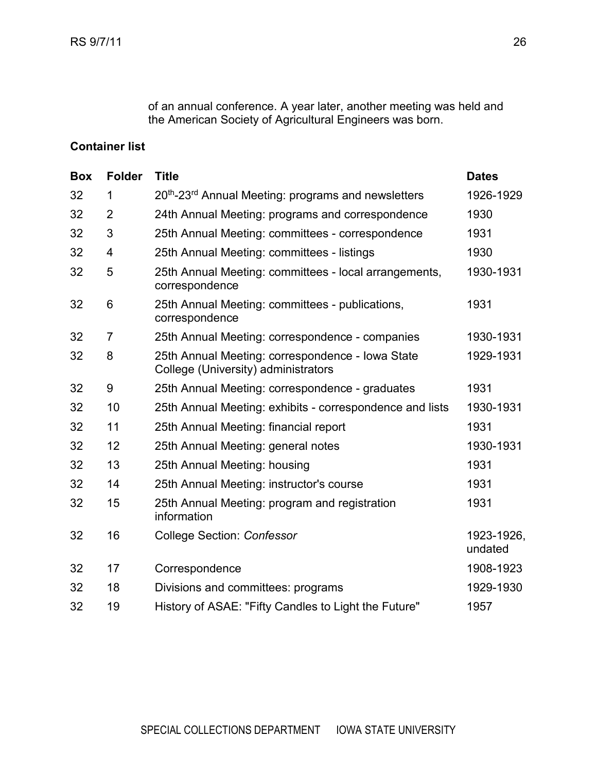of an annual conference. A year later, another meeting was held and the American Society of Agricultural Engineers was born.

| <b>Box</b> | <b>Folder</b>  | <b>Title</b>                                                                            | <b>Dates</b>          |
|------------|----------------|-----------------------------------------------------------------------------------------|-----------------------|
| 32         | 1              | 20 <sup>th</sup> -23 <sup>rd</sup> Annual Meeting: programs and newsletters             | 1926-1929             |
| 32         | $\overline{2}$ | 24th Annual Meeting: programs and correspondence                                        | 1930                  |
| 32         | 3              | 25th Annual Meeting: committees - correspondence                                        | 1931                  |
| 32         | 4              | 25th Annual Meeting: committees - listings                                              | 1930                  |
| 32         | 5              | 25th Annual Meeting: committees - local arrangements,<br>correspondence                 | 1930-1931             |
| 32         | 6              | 25th Annual Meeting: committees - publications,<br>correspondence                       | 1931                  |
| 32         | $\overline{7}$ | 25th Annual Meeting: correspondence - companies                                         | 1930-1931             |
| 32         | 8              | 25th Annual Meeting: correspondence - Iowa State<br>College (University) administrators | 1929-1931             |
| 32         | 9              | 25th Annual Meeting: correspondence - graduates                                         | 1931                  |
| 32         | 10             | 25th Annual Meeting: exhibits - correspondence and lists                                | 1930-1931             |
| 32         | 11             | 25th Annual Meeting: financial report                                                   | 1931                  |
| 32         | 12             | 25th Annual Meeting: general notes                                                      | 1930-1931             |
| 32         | 13             | 25th Annual Meeting: housing                                                            | 1931                  |
| 32         | 14             | 25th Annual Meeting: instructor's course                                                | 1931                  |
| 32         | 15             | 25th Annual Meeting: program and registration<br>information                            | 1931                  |
| 32         | 16             | <b>College Section: Confessor</b>                                                       | 1923-1926,<br>undated |
| 32         | 17             | Correspondence                                                                          | 1908-1923             |
| 32         | 18             | Divisions and committees: programs                                                      | 1929-1930             |
| 32         | 19             | History of ASAE: "Fifty Candles to Light the Future"                                    | 1957                  |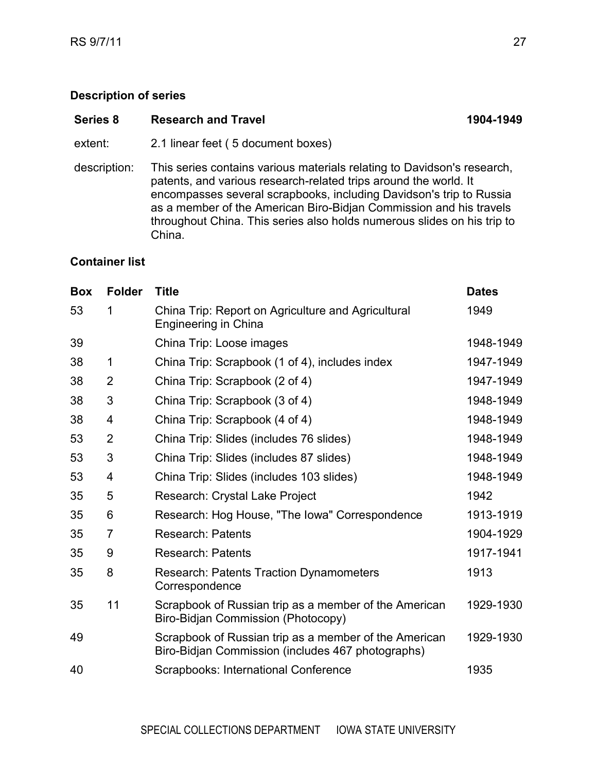<span id="page-26-0"></span>

| Series 8     | <b>Research and Travel</b>                                                                                                                                                                                                                                                                                                                                                    | 1904-1949 |
|--------------|-------------------------------------------------------------------------------------------------------------------------------------------------------------------------------------------------------------------------------------------------------------------------------------------------------------------------------------------------------------------------------|-----------|
| extent:      | 2.1 linear feet (5 document boxes)                                                                                                                                                                                                                                                                                                                                            |           |
| description: | This series contains various materials relating to Davidson's research,<br>patents, and various research-related trips around the world. It<br>encompasses several scrapbooks, including Davidson's trip to Russia<br>as a member of the American Biro-Bidjan Commission and his travels<br>throughout China. This series also holds numerous slides on his trip to<br>China. |           |

| <b>Box</b> | <b>Folder</b>  | <b>Title</b>                                                                                               | <b>Dates</b> |
|------------|----------------|------------------------------------------------------------------------------------------------------------|--------------|
| 53         | 1              | China Trip: Report on Agriculture and Agricultural<br>Engineering in China                                 | 1949         |
| 39         |                | China Trip: Loose images                                                                                   | 1948-1949    |
| 38         | 1              | China Trip: Scrapbook (1 of 4), includes index                                                             | 1947-1949    |
| 38         | 2              | China Trip: Scrapbook (2 of 4)                                                                             | 1947-1949    |
| 38         | 3              | China Trip: Scrapbook (3 of 4)                                                                             | 1948-1949    |
| 38         | 4              | China Trip: Scrapbook (4 of 4)                                                                             | 1948-1949    |
| 53         | $\overline{2}$ | China Trip: Slides (includes 76 slides)                                                                    | 1948-1949    |
| 53         | 3              | China Trip: Slides (includes 87 slides)                                                                    | 1948-1949    |
| 53         | 4              | China Trip: Slides (includes 103 slides)                                                                   | 1948-1949    |
| 35         | 5              | Research: Crystal Lake Project                                                                             | 1942         |
| 35         | 6              | Research: Hog House, "The Iowa" Correspondence                                                             | 1913-1919    |
| 35         | 7              | <b>Research: Patents</b>                                                                                   | 1904-1929    |
| 35         | 9              | <b>Research: Patents</b>                                                                                   | 1917-1941    |
| 35         | 8              | <b>Research: Patents Traction Dynamometers</b><br>Correspondence                                           | 1913         |
| 35         | 11             | Scrapbook of Russian trip as a member of the American<br>Biro-Bidjan Commission (Photocopy)                | 1929-1930    |
| 49         |                | Scrapbook of Russian trip as a member of the American<br>Biro-Bidjan Commission (includes 467 photographs) | 1929-1930    |
| 40         |                | <b>Scrapbooks: International Conference</b>                                                                | 1935         |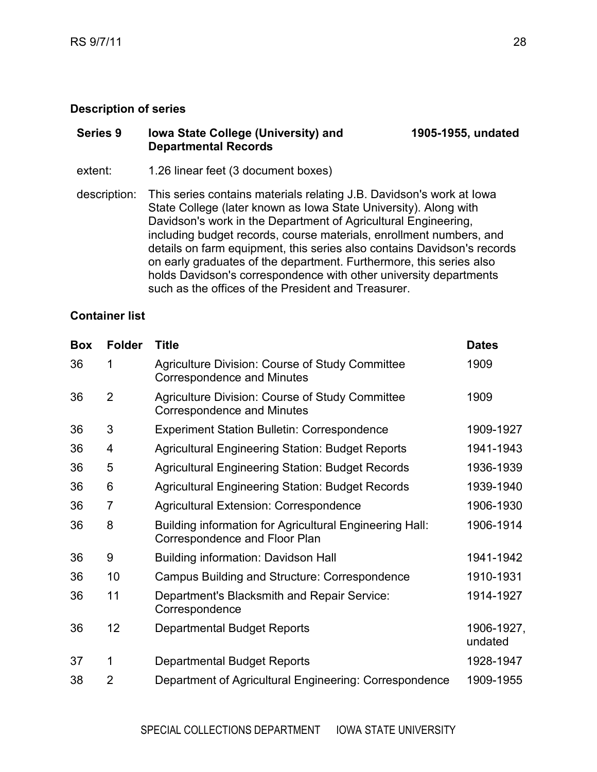#### <span id="page-27-0"></span>**Series 9 Iowa State College (University) and Departmental Records 1905-1955, undated**

extent: 1.26 linear feet (3 document boxes)

description: This series contains materials relating J.B. Davidson's work at Iowa State College (later known as Iowa State University). Along with Davidson's work in the Department of Agricultural Engineering, including budget records, course materials, enrollment numbers, and details on farm equipment, this series also contains Davidson's records on early graduates of the department. Furthermore, this series also holds Davidson's correspondence with other university departments such as the offices of the President and Treasurer.

| <b>Box</b> | <b>Folder</b>  | <b>Title</b>                                                                             | <b>Dates</b>          |
|------------|----------------|------------------------------------------------------------------------------------------|-----------------------|
| 36         | 1              | <b>Agriculture Division: Course of Study Committee</b><br>Correspondence and Minutes     | 1909                  |
| 36         | $\overline{2}$ | Agriculture Division: Course of Study Committee<br>Correspondence and Minutes            | 1909                  |
| 36         | 3              | <b>Experiment Station Bulletin: Correspondence</b>                                       | 1909-1927             |
| 36         | 4              | <b>Agricultural Engineering Station: Budget Reports</b>                                  | 1941-1943             |
| 36         | 5              | <b>Agricultural Engineering Station: Budget Records</b>                                  | 1936-1939             |
| 36         | 6              | <b>Agricultural Engineering Station: Budget Records</b>                                  | 1939-1940             |
| 36         | $\overline{7}$ | Agricultural Extension: Correspondence                                                   | 1906-1930             |
| 36         | 8              | Building information for Agricultural Engineering Hall:<br>Correspondence and Floor Plan | 1906-1914             |
| 36         | 9              | Building information: Davidson Hall                                                      | 1941-1942             |
| 36         | 10             | Campus Building and Structure: Correspondence                                            | 1910-1931             |
| 36         | 11             | Department's Blacksmith and Repair Service:<br>Correspondence                            | 1914-1927             |
| 36         | 12             | <b>Departmental Budget Reports</b>                                                       | 1906-1927,<br>undated |
| 37         | 1              | Departmental Budget Reports                                                              | 1928-1947             |
| 38         | 2              | Department of Agricultural Engineering: Correspondence                                   | 1909-1955             |
|            |                |                                                                                          |                       |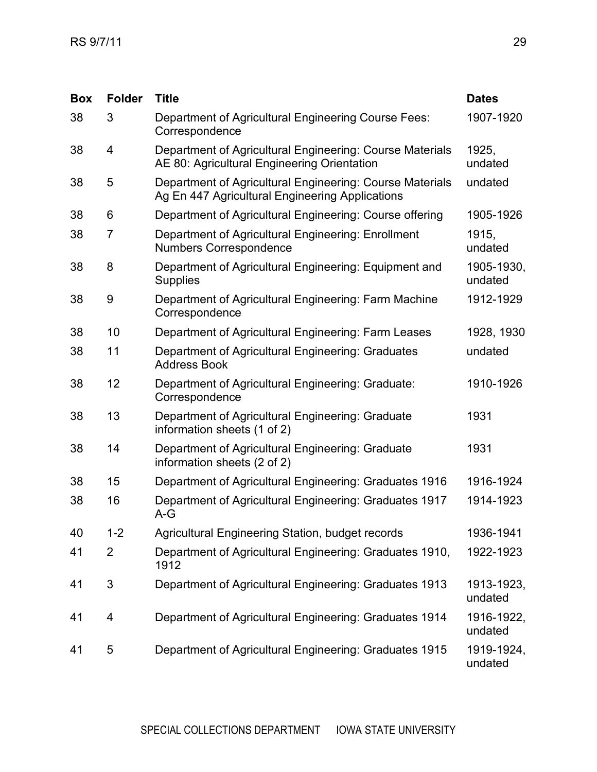| <b>Box</b> | <b>Folder</b> | <b>Title</b>                                                                                                | <b>Dates</b>          |
|------------|---------------|-------------------------------------------------------------------------------------------------------------|-----------------------|
| 38         | 3             | Department of Agricultural Engineering Course Fees:<br>Correspondence                                       | 1907-1920             |
| 38         | 4             | Department of Agricultural Engineering: Course Materials<br>AE 80: Agricultural Engineering Orientation     | 1925,<br>undated      |
| 38         | 5             | Department of Agricultural Engineering: Course Materials<br>Ag En 447 Agricultural Engineering Applications | undated               |
| 38         | 6             | Department of Agricultural Engineering: Course offering                                                     | 1905-1926             |
| 38         | 7             | Department of Agricultural Engineering: Enrollment<br><b>Numbers Correspondence</b>                         | 1915,<br>undated      |
| 38         | 8             | Department of Agricultural Engineering: Equipment and<br><b>Supplies</b>                                    | 1905-1930,<br>undated |
| 38         | 9             | Department of Agricultural Engineering: Farm Machine<br>Correspondence                                      | 1912-1929             |
| 38         | 10            | Department of Agricultural Engineering: Farm Leases                                                         | 1928, 1930            |
| 38         | 11            | Department of Agricultural Engineering: Graduates<br><b>Address Book</b>                                    | undated               |
| 38         | 12            | Department of Agricultural Engineering: Graduate:<br>Correspondence                                         | 1910-1926             |
| 38         | 13            | Department of Agricultural Engineering: Graduate<br>information sheets (1 of 2)                             | 1931                  |
| 38         | 14            | Department of Agricultural Engineering: Graduate<br>information sheets (2 of 2)                             | 1931                  |
| 38         | 15            | Department of Agricultural Engineering: Graduates 1916                                                      | 1916-1924             |
| 38         | 16            | Department of Agricultural Engineering: Graduates 1917<br>$A-G$                                             | 1914-1923             |
| 40         | $1 - 2$       | Agricultural Engineering Station, budget records                                                            | 1936-1941             |
| 41         | 2             | Department of Agricultural Engineering: Graduates 1910,<br>1912                                             | 1922-1923             |
| 41         | 3             | Department of Agricultural Engineering: Graduates 1913                                                      | 1913-1923,<br>undated |
| 41         | 4             | Department of Agricultural Engineering: Graduates 1914                                                      | 1916-1922,<br>undated |
| 41         | 5             | Department of Agricultural Engineering: Graduates 1915                                                      | 1919-1924,<br>undated |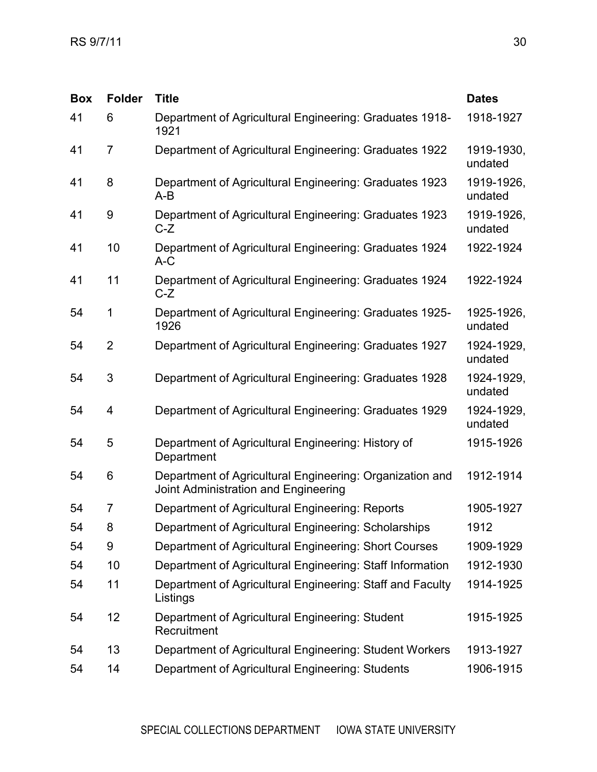| <b>Box</b> | <b>Folder</b>  | <b>Title</b>                                                                                     | <b>Dates</b>          |
|------------|----------------|--------------------------------------------------------------------------------------------------|-----------------------|
| 41         | 6              | Department of Agricultural Engineering: Graduates 1918-<br>1921                                  | 1918-1927             |
| 41         | $\overline{7}$ | Department of Agricultural Engineering: Graduates 1922                                           | 1919-1930,<br>undated |
| 41         | 8              | Department of Agricultural Engineering: Graduates 1923<br>$A-B$                                  | 1919-1926,<br>undated |
| 41         | 9              | Department of Agricultural Engineering: Graduates 1923<br>$C-Z$                                  | 1919-1926,<br>undated |
| 41         | 10             | Department of Agricultural Engineering: Graduates 1924<br>$A-C$                                  | 1922-1924             |
| 41         | 11             | Department of Agricultural Engineering: Graduates 1924<br>$C-Z$                                  | 1922-1924             |
| 54         | 1              | Department of Agricultural Engineering: Graduates 1925-<br>1926                                  | 1925-1926,<br>undated |
| 54         | $\overline{2}$ | Department of Agricultural Engineering: Graduates 1927                                           | 1924-1929,<br>undated |
| 54         | 3              | Department of Agricultural Engineering: Graduates 1928                                           | 1924-1929,<br>undated |
| 54         | 4              | Department of Agricultural Engineering: Graduates 1929                                           | 1924-1929,<br>undated |
| 54         | 5              | Department of Agricultural Engineering: History of<br>Department                                 | 1915-1926             |
| 54         | 6              | Department of Agricultural Engineering: Organization and<br>Joint Administration and Engineering | 1912-1914             |
| 54         | 7              | Department of Agricultural Engineering: Reports                                                  | 1905-1927             |
| 54         | 8              | Department of Agricultural Engineering: Scholarships                                             | 1912                  |
| 54         | 9              | Department of Agricultural Engineering: Short Courses                                            | 1909-1929             |
| 54         | 10             | Department of Agricultural Engineering: Staff Information                                        | 1912-1930             |
| 54         | 11             | Department of Agricultural Engineering: Staff and Faculty<br>Listings                            | 1914-1925             |
| 54         | 12             | Department of Agricultural Engineering: Student<br>Recruitment                                   | 1915-1925             |
| 54         | 13             | Department of Agricultural Engineering: Student Workers                                          | 1913-1927             |
| 54         | 14             | Department of Agricultural Engineering: Students                                                 | 1906-1915             |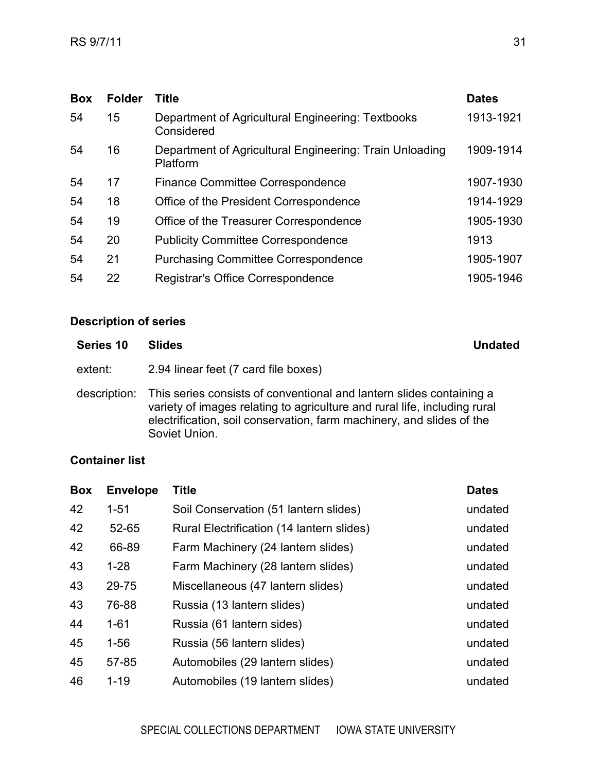| <b>Folder</b><br>Title<br><b>Box</b>                                            | <b>Dates</b> |
|---------------------------------------------------------------------------------|--------------|
| Department of Agricultural Engineering: Textbooks<br>15<br>54<br>Considered     | 1913-1921    |
| Department of Agricultural Engineering: Train Unloading<br>16<br>54<br>Platform | 1909-1914    |
| 54<br>17<br><b>Finance Committee Correspondence</b>                             | 1907-1930    |
| 18<br>Office of the President Correspondence<br>54                              | 1914-1929    |
| 54<br>19<br>Office of the Treasurer Correspondence                              | 1905-1930    |
| 54<br>20<br><b>Publicity Committee Correspondence</b>                           | 1913         |
| 54<br>21<br><b>Purchasing Committee Correspondence</b>                          | 1905-1907    |
| 54<br>22<br>Registrar's Office Correspondence                                   | 1905-1946    |

<span id="page-30-0"></span>

| Series 10    | <b>Slides</b>                                                                                                                                                                                                                               | <b>Undated</b> |
|--------------|---------------------------------------------------------------------------------------------------------------------------------------------------------------------------------------------------------------------------------------------|----------------|
| extent:      | 2.94 linear feet (7 card file boxes)                                                                                                                                                                                                        |                |
| description: | This series consists of conventional and lantern slides containing a<br>variety of images relating to agriculture and rural life, including rural<br>electrification, soil conservation, farm machinery, and slides of the<br>Soviet Union. |                |

| <b>Box</b> | <b>Envelope</b> | Title                                     | <b>Dates</b> |
|------------|-----------------|-------------------------------------------|--------------|
| 42         | $1 - 51$        | Soil Conservation (51 lantern slides)     | undated      |
| 42         | 52-65           | Rural Electrification (14 Iantern slides) | undated      |
| 42         | 66-89           | Farm Machinery (24 lantern slides)        | undated      |
| 43         | $1-28$          | Farm Machinery (28 lantern slides)        | undated      |
| 43         | 29-75           | Miscellaneous (47 lantern slides)         | undated      |
| 43         | 76-88           | Russia (13 lantern slides)                | undated      |
| 44         | $1 - 61$        | Russia (61 lantern sides)                 | undated      |
| 45         | $1 - 56$        | Russia (56 lantern slides)                | undated      |
| 45         | 57-85           | Automobiles (29 lantern slides)           | undated      |
| 46         | $1 - 19$        | Automobiles (19 lantern slides)           | undated      |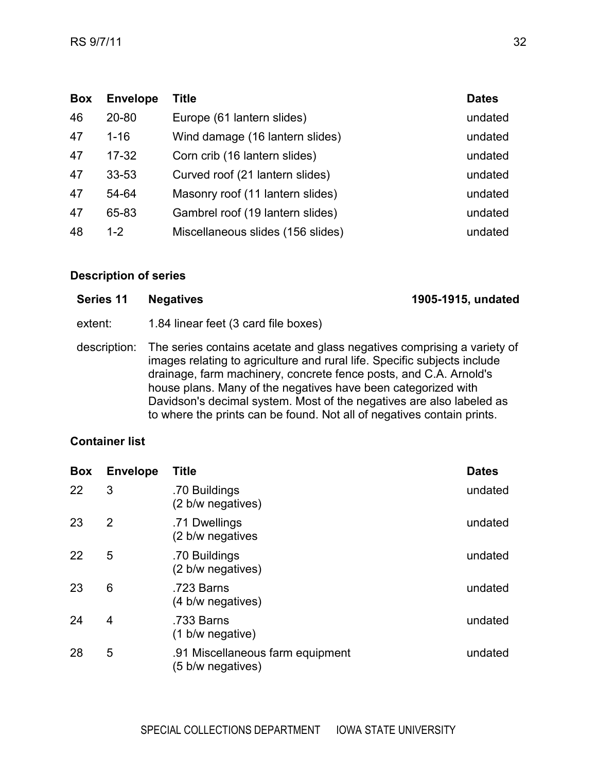| <b>Box</b> | <b>Envelope</b> | Title                             | <b>Dates</b> |
|------------|-----------------|-----------------------------------|--------------|
| 46         | $20 - 80$       | Europe (61 lantern slides)        | undated      |
| 47         | $1 - 16$        | Wind damage (16 lantern slides)   | undated      |
| 47         | $17 - 32$       | Corn crib (16 lantern slides)     | undated      |
| 47         | $33 - 53$       | Curved roof (21 lantern slides)   | undated      |
| 47         | 54-64           | Masonry roof (11 lantern slides)  | undated      |
| 47         | 65-83           | Gambrel roof (19 lantern slides)  | undated      |
| 48         | $1 - 2$         | Miscellaneous slides (156 slides) | undated      |

<span id="page-31-0"></span>

| Series 11 Negatives | 1905-1915, undated |
|---------------------|--------------------|
|---------------------|--------------------|

- extent: 1.84 linear feet (3 card file boxes)
- description: The series contains acetate and glass negatives comprising a variety of images relating to agriculture and rural life. Specific subjects include drainage, farm machinery, concrete fence posts, and C.A. Arnold's house plans. Many of the negatives have been categorized with Davidson's decimal system. Most of the negatives are also labeled as to where the prints can be found. Not all of negatives contain prints.

| <b>Box</b> | <b>Envelope</b> | <b>Title</b>                                          | <b>Dates</b> |
|------------|-----------------|-------------------------------------------------------|--------------|
| 22         | 3               | .70 Buildings<br>(2 b/w negatives)                    | undated      |
| 23         | 2               | .71 Dwellings<br>(2 b/w negatives                     | undated      |
| 22         | 5               | .70 Buildings<br>(2 b/w negatives)                    | undated      |
| 23         | 6               | .723 Barns<br>(4 b/w negatives)                       | undated      |
| 24         | 4               | .733 Barns<br>(1 b/w negative)                        | undated      |
| 28         | 5               | .91 Miscellaneous farm equipment<br>(5 b/w negatives) | undated      |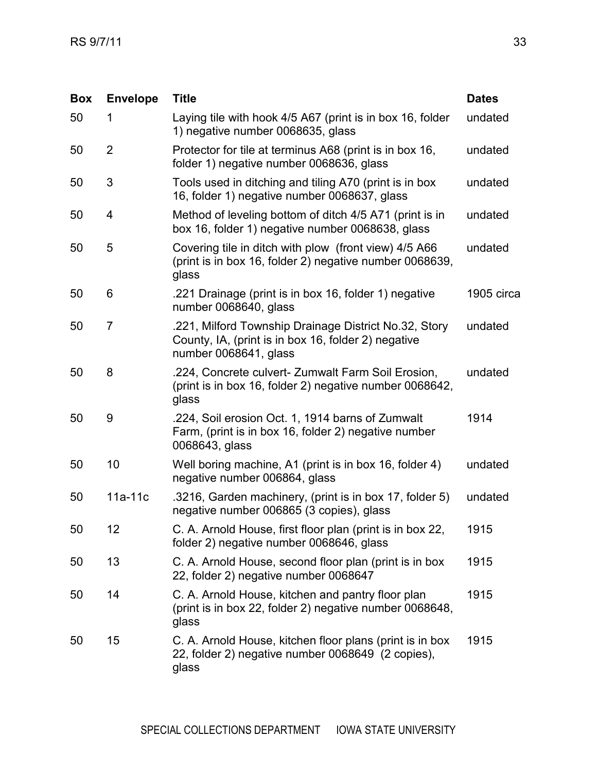| <b>Box</b> | <b>Envelope</b> | <b>Title</b>                                                                                                                          | <b>Dates</b> |
|------------|-----------------|---------------------------------------------------------------------------------------------------------------------------------------|--------------|
| 50         | 1               | Laying tile with hook 4/5 A67 (print is in box 16, folder<br>1) negative number 0068635, glass                                        | undated      |
| 50         | $\overline{2}$  | Protector for tile at terminus A68 (print is in box 16,<br>folder 1) negative number 0068636, glass                                   | undated      |
| 50         | 3               | Tools used in ditching and tiling A70 (print is in box<br>16, folder 1) negative number 0068637, glass                                | undated      |
| 50         | 4               | Method of leveling bottom of ditch 4/5 A71 (print is in<br>box 16, folder 1) negative number 0068638, glass                           | undated      |
| 50         | 5               | Covering tile in ditch with plow (front view) 4/5 A66<br>(print is in box 16, folder 2) negative number 0068639,<br>glass             | undated      |
| 50         | 6               | .221 Drainage (print is in box 16, folder 1) negative<br>number 0068640, glass                                                        | 1905 circa   |
| 50         | 7               | .221, Milford Township Drainage District No.32, Story<br>County, IA, (print is in box 16, folder 2) negative<br>number 0068641, glass | undated      |
| 50         | 8               | .224, Concrete culvert- Zumwalt Farm Soil Erosion,<br>(print is in box 16, folder 2) negative number 0068642,<br>glass                | undated      |
| 50         | 9               | .224, Soil erosion Oct. 1, 1914 barns of Zumwalt<br>Farm, (print is in box 16, folder 2) negative number<br>0068643, glass            | 1914         |
| 50         | 10              | Well boring machine, A1 (print is in box 16, folder 4)<br>negative number 006864, glass                                               | undated      |
| 50         | $11a-11c$       | .3216, Garden machinery, (print is in box 17, folder 5)<br>negative number 006865 (3 copies), glass                                   | undated      |
| 50         | 12              | C. A. Arnold House, first floor plan (print is in box 22,<br>folder 2) negative number 0068646, glass                                 | 1915         |
| 50         | 13              | C. A. Arnold House, second floor plan (print is in box<br>22, folder 2) negative number 0068647                                       | 1915         |
| 50         | 14              | C. A. Arnold House, kitchen and pantry floor plan<br>(print is in box 22, folder 2) negative number 0068648,<br>glass                 | 1915         |
| 50         | 15              | C. A. Arnold House, kitchen floor plans (print is in box<br>22, folder 2) negative number 0068649 (2 copies),<br>glass                | 1915         |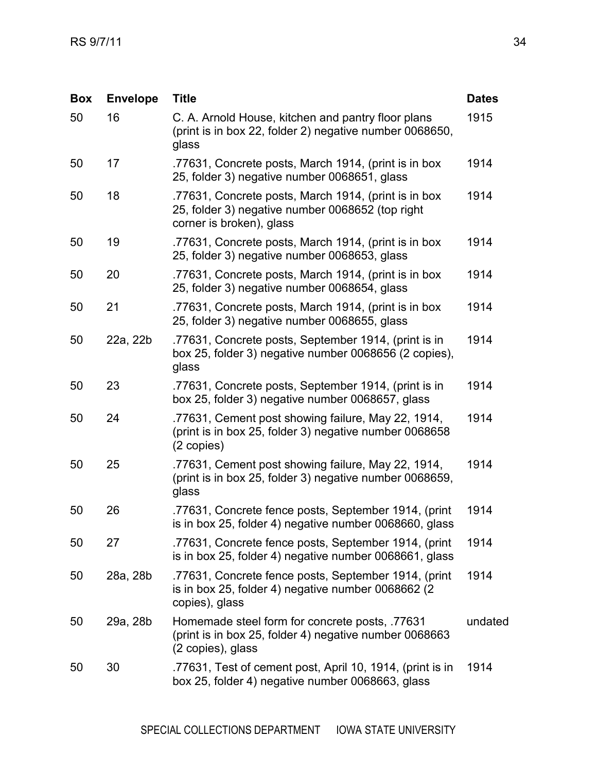| <b>Box</b> | <b>Envelope</b> | <b>Title</b>                                                                                                                         | <b>Dates</b> |
|------------|-----------------|--------------------------------------------------------------------------------------------------------------------------------------|--------------|
| 50         | 16              | C. A. Arnold House, kitchen and pantry floor plans<br>(print is in box 22, folder 2) negative number 0068650,<br>glass               | 1915         |
| 50         | 17              | .77631, Concrete posts, March 1914, (print is in box<br>25, folder 3) negative number 0068651, glass                                 | 1914         |
| 50         | 18              | .77631, Concrete posts, March 1914, (print is in box<br>25, folder 3) negative number 0068652 (top right<br>corner is broken), glass | 1914         |
| 50         | 19              | .77631, Concrete posts, March 1914, (print is in box<br>25, folder 3) negative number 0068653, glass                                 | 1914         |
| 50         | 20              | .77631, Concrete posts, March 1914, (print is in box<br>25, folder 3) negative number 0068654, glass                                 | 1914         |
| 50         | 21              | .77631, Concrete posts, March 1914, (print is in box<br>25, folder 3) negative number 0068655, glass                                 | 1914         |
| 50         | 22a, 22b        | .77631, Concrete posts, September 1914, (print is in<br>box 25, folder 3) negative number 0068656 (2 copies),<br>glass               | 1914         |
| 50         | 23              | .77631, Concrete posts, September 1914, (print is in<br>box 25, folder 3) negative number 0068657, glass                             | 1914         |
| 50         | 24              | .77631, Cement post showing failure, May 22, 1914,<br>(print is in box 25, folder 3) negative number 0068658<br>(2 copies)           | 1914         |
| 50         | 25              | .77631, Cement post showing failure, May 22, 1914,<br>(print is in box 25, folder 3) negative number 0068659,<br>glass               | 1914         |
| 50         | 26              | .77631, Concrete fence posts, September 1914, (print<br>is in box 25, folder 4) negative number 0068660, glass                       | 1914         |
| 50         | 27              | .77631, Concrete fence posts, September 1914, (print<br>is in box 25, folder 4) negative number 0068661, glass                       | 1914         |
| 50         | 28a, 28b        | .77631, Concrete fence posts, September 1914, (print<br>is in box 25, folder 4) negative number 0068662 (2)<br>copies), glass        | 1914         |
| 50         | 29a, 28b        | Homemade steel form for concrete posts, .77631<br>(print is in box 25, folder 4) negative number 0068663<br>(2 copies), glass        | undated      |
| 50         | 30              | .77631, Test of cement post, April 10, 1914, (print is in<br>box 25, folder 4) negative number 0068663, glass                        | 1914         |